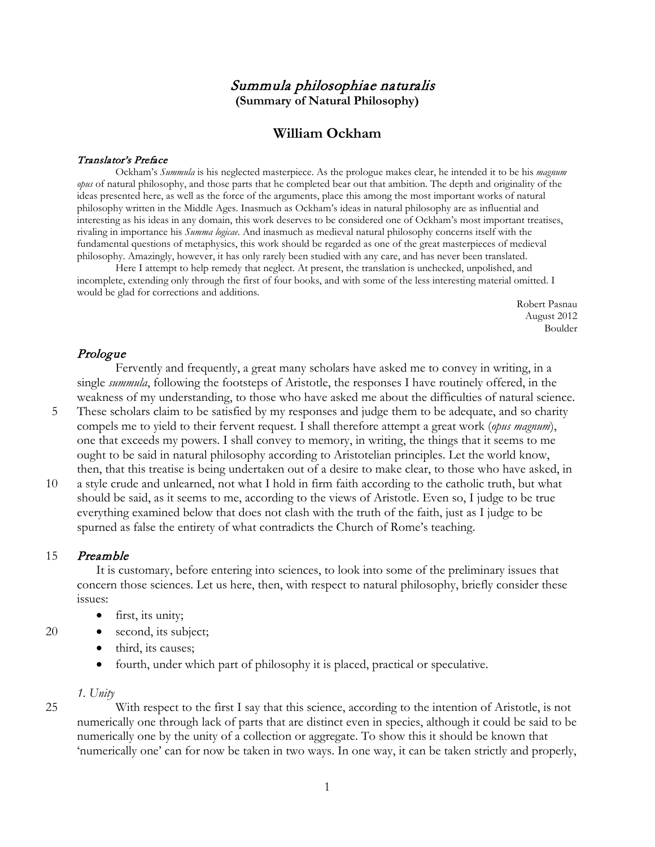## Summula philosophiae naturalis **(Summary of Natural Philosophy)**

## **William Ockham**

### Translator's Preface

Ockham's *Summula* is his neglected masterpiece. As the prologue makes clear, he intended it to be his *magnum opus* of natural philosophy, and those parts that he completed bear out that ambition. The depth and originality of the ideas presented here, as well as the force of the arguments, place this among the most important works of natural philosophy written in the Middle Ages. Inasmuch as Ockham's ideas in natural philosophy are as influential and interesting as his ideas in any domain, this work deserves to be considered one of Ockham's most important treatises, rivaling in importance his *Summa logicae*. And inasmuch as medieval natural philosophy concerns itself with the fundamental questions of metaphysics, this work should be regarded as one of the great masterpieces of medieval philosophy. Amazingly, however, it has only rarely been studied with any care, and has never been translated.

Here I attempt to help remedy that neglect. At present, the translation is unchecked, unpolished, and incomplete, extending only through the first of four books, and with some of the less interesting material omitted. I would be glad for corrections and additions.

Robert Pasnau August 2012 Boulder

## Prologue

Fervently and frequently, a great many scholars have asked me to convey in writing, in a single *summula*, following the footsteps of Aristotle, the responses I have routinely offered, in the weakness of my understanding, to those who have asked me about the difficulties of natural science.

- 5 These scholars claim to be satisfied by my responses and judge them to be adequate, and so charity compels me to yield to their fervent request. I shall therefore attempt a great work (*opus magnum*), one that exceeds my powers. I shall convey to memory, in writing, the things that it seems to me ought to be said in natural philosophy according to Aristotelian principles. Let the world know, then, that this treatise is being undertaken out of a desire to make clear, to those who have asked, in
- 10 a style crude and unlearned, not what I hold in firm faith according to the catholic truth, but what should be said, as it seems to me, according to the views of Aristotle. Even so, I judge to be true everything examined below that does not clash with the truth of the faith, just as I judge to be spurned as false the entirety of what contradicts the Church of Rome's teaching.

### 15 Preamble

It is customary, before entering into sciences, to look into some of the preliminary issues that concern those sciences. Let us here, then, with respect to natural philosophy, briefly consider these issues:

- first, its unity;
- 20 second, its subject;
	- third, its causes;
	- fourth, under which part of philosophy it is placed, practical or speculative.

### *1. Unity*

25 With respect to the first I say that this science, according to the intention of Aristotle, is not numerically one through lack of parts that are distinct even in species, although it could be said to be numerically one by the unity of a collection or aggregate. To show this it should be known that 'numerically one' can for now be taken in two ways. In one way, it can be taken strictly and properly,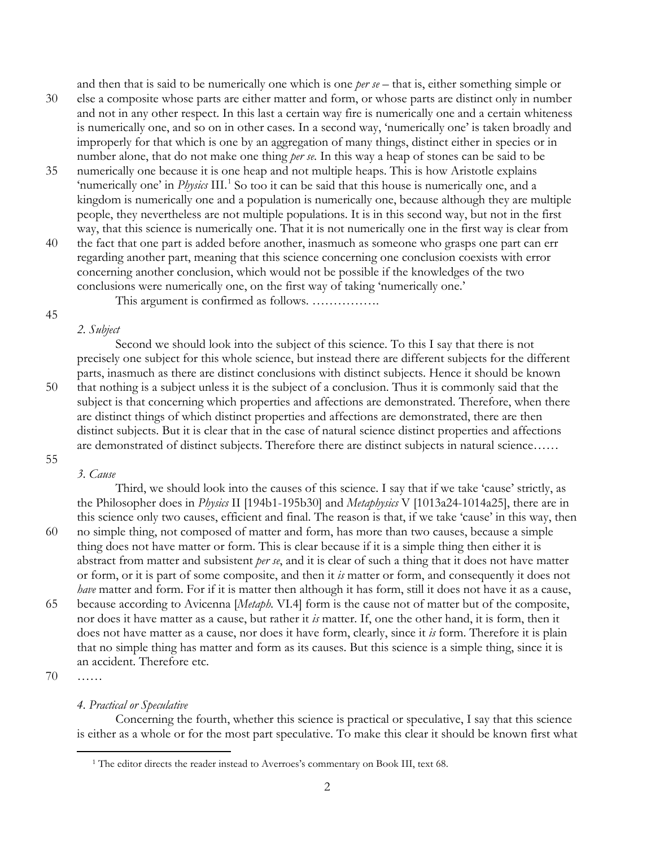and then that is said to be numerically one which is one *per se* – that is, either something simple or

- 30 else a composite whose parts are either matter and form, or whose parts are distinct only in number and not in any other respect. In this last a certain way fire is numerically one and a certain whiteness is numerically one, and so on in other cases. In a second way, 'numerically one' is taken broadly and improperly for that which is one by an aggregation of many things, distinct either in species or in number alone, that do not make one thing *per se*. In this way a heap of stones can be said to be
- 35 numerically one because it is one heap and not multiple heaps. This is how Aristotle explains 'numerically one' in *Physics* III.<sup>[1](#page-1-0)</sup> So too it can be said that this house is numerically one, and a kingdom is numerically one and a population is numerically one, because although they are multiple people, they nevertheless are not multiple populations. It is in this second way, but not in the first way, that this science is numerically one. That it is not numerically one in the first way is clear from
- 40 the fact that one part is added before another, inasmuch as someone who grasps one part can err regarding another part, meaning that this science concerning one conclusion coexists with error concerning another conclusion, which would not be possible if the knowledges of the two conclusions were numerically one, on the first way of taking 'numerically one.'

This argument is confirmed as follows. …………….

#### 45

#### *2. Subject*

Second we should look into the subject of this science. To this I say that there is not precisely one subject for this whole science, but instead there are different subjects for the different parts, inasmuch as there are distinct conclusions with distinct subjects. Hence it should be known 50 that nothing is a subject unless it is the subject of a conclusion. Thus it is commonly said that the subject is that concerning which properties and affections are demonstrated. Therefore, when there are distinct things of which distinct properties and affections are demonstrated, there are then distinct subjects. But it is clear that in the case of natural science distinct properties and affections are demonstrated of distinct subjects. Therefore there are distinct subjects in natural science……

# 55

*3. Cause*

Third, we should look into the causes of this science. I say that if we take 'cause' strictly, as the Philosopher does in *Physics* II [194b1-195b30] and *Metaphysics* V [1013a24-1014a25], there are in this science only two causes, efficient and final. The reason is that, if we take 'cause' in this way, then 60 no simple thing, not composed of matter and form, has more than two causes, because a simple thing does not have matter or form. This is clear because if it is a simple thing then either it is abstract from matter and subsistent *per se*, and it is clear of such a thing that it does not have matter or form, or it is part of some composite, and then it *is* matter or form, and consequently it does not *have* matter and form. For if it is matter then although it has form, still it does not have it as a cause, 65 because according to Avicenna [*Metaph.* VI.4] form is the cause not of matter but of the composite, nor does it have matter as a cause, but rather it *is* matter. If, one the other hand, it is form, then it does not have matter as a cause, nor does it have form, clearly, since it *is* form. Therefore it is plain that no simple thing has matter and form as its causes. But this science is a simple thing, since it is an accident. Therefore etc.

70 ……

<span id="page-1-0"></span> $\overline{a}$ 

## *4. Practical or Speculative*

Concerning the fourth, whether this science is practical or speculative, I say that this science is either as a whole or for the most part speculative. To make this clear it should be known first what

<sup>&</sup>lt;sup>1</sup> The editor directs the reader instead to Averroes's commentary on Book III, text 68.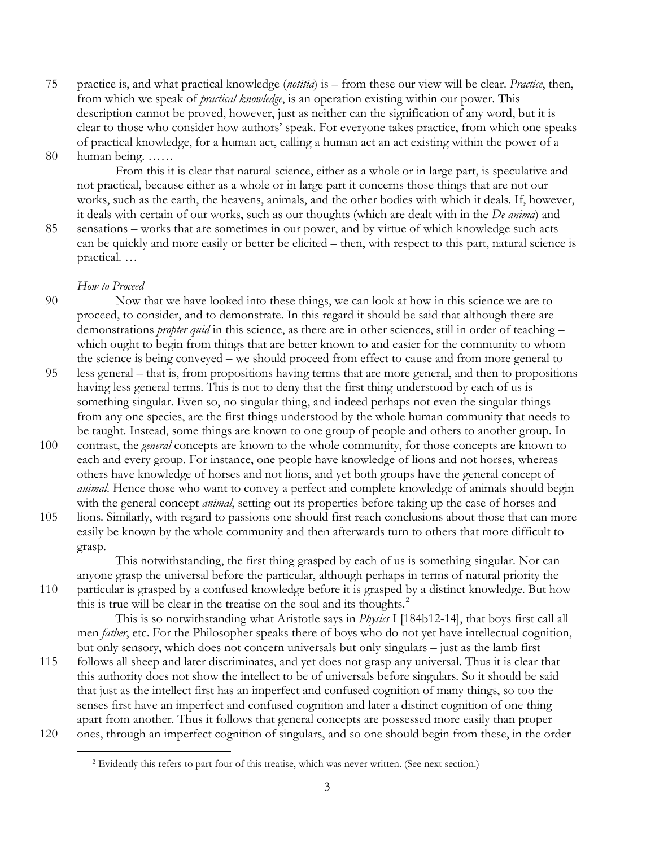75 practice is, and what practical knowledge (*notitia*) is – from these our view will be clear. *Practice*, then, from which we speak of *practical knowledge*, is an operation existing within our power. This description cannot be proved, however, just as neither can the signification of any word, but it is clear to those who consider how authors' speak. For everyone takes practice, from which one speaks of practical knowledge, for a human act, calling a human act an act existing within the power of a

80 human being. ……

From this it is clear that natural science, either as a whole or in large part, is speculative and not practical, because either as a whole or in large part it concerns those things that are not our works, such as the earth, the heavens, animals, and the other bodies with which it deals. If, however, it deals with certain of our works, such as our thoughts (which are dealt with in the *De anima*) and

85 sensations – works that are sometimes in our power, and by virtue of which knowledge such acts can be quickly and more easily or better be elicited – then, with respect to this part, natural science is practical. …

## *How to Proceed*

- 90 Now that we have looked into these things, we can look at how in this science we are to proceed, to consider, and to demonstrate. In this regard it should be said that although there are demonstrations *propter quid* in this science, as there are in other sciences, still in order of teaching – which ought to begin from things that are better known to and easier for the community to whom the science is being conveyed – we should proceed from effect to cause and from more general to
- 95 less general that is, from propositions having terms that are more general, and then to propositions having less general terms. This is not to deny that the first thing understood by each of us is something singular. Even so, no singular thing, and indeed perhaps not even the singular things from any one species, are the first things understood by the whole human community that needs to be taught. Instead, some things are known to one group of people and others to another group. In
- 100 contrast, the *general* concepts are known to the whole community, for those concepts are known to each and every group. For instance, one people have knowledge of lions and not horses, whereas others have knowledge of horses and not lions, and yet both groups have the general concept of *animal*. Hence those who want to convey a perfect and complete knowledge of animals should begin with the general concept *animal*, setting out its properties before taking up the case of horses and
- 105 lions. Similarly, with regard to passions one should first reach conclusions about those that can more easily be known by the whole community and then afterwards turn to others that more difficult to grasp.

This notwithstanding, the first thing grasped by each of us is something singular. Nor can anyone grasp the universal before the particular, although perhaps in terms of natural priority the

110 particular is grasped by a confused knowledge before it is grasped by a distinct knowledge. But how this is true will be clear in the treatise on the soul and its thoughts.<sup>[2](#page-2-0)</sup>

This is so notwithstanding what Aristotle says in *Physics* I [184b12-14], that boys first call all men *father*, etc. For the Philosopher speaks there of boys who do not yet have intellectual cognition, but only sensory, which does not concern universals but only singulars – just as the lamb first

- <span id="page-2-0"></span>115 follows all sheep and later discriminates, and yet does not grasp any universal. Thus it is clear that this authority does not show the intellect to be of universals before singulars. So it should be said that just as the intellect first has an imperfect and confused cognition of many things, so too the senses first have an imperfect and confused cognition and later a distinct cognition of one thing apart from another. Thus it follows that general concepts are possessed more easily than proper 120 ones, through an imperfect cognition of singulars, and so one should begin from these, in the order
	- <sup>2</sup> Evidently this refers to part four of this treatise, which was never written. (See next section.)  $\overline{a}$ 
		- 3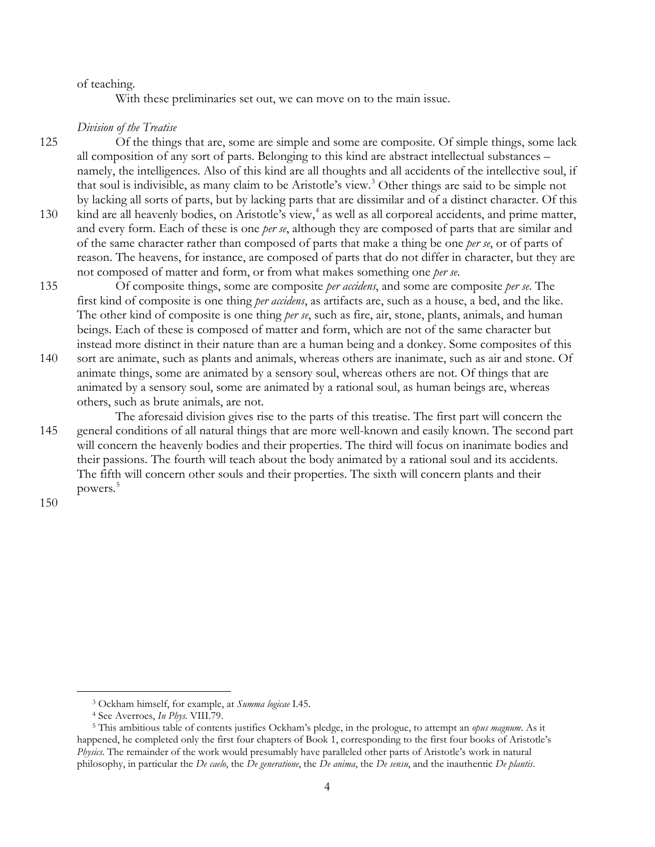### of teaching.

With these preliminaries set out, we can move on to the main issue.

## *Division of the Treatise*

125 Of the things that are, some are simple and some are composite. Of simple things, some lack all composition of any sort of parts. Belonging to this kind are abstract intellectual substances – namely, the intelligences. Also of this kind are all thoughts and all accidents of the intellective soul, if that soul is indivisible, as many claim to be Aristotle's view.<sup>[3](#page-3-0)</sup> Other things are said to be simple not by lacking all sorts of parts, but by lacking parts that are dissimilar and of a distinct character. Of this 130 kind are all heavenly bodies, on Aristotle's view,<sup>[4](#page-3-1)</sup> as well as all corporeal accidents, and prime matter,

- and every form. Each of these is one *per se*, although they are composed of parts that are similar and of the same character rather than composed of parts that make a thing be one *per se*, or of parts of reason. The heavens, for instance, are composed of parts that do not differ in character, but they are not composed of matter and form, or from what makes something one *per se*.
- 135 Of composite things, some are composite *per accidens*, and some are composite *per se*. The first kind of composite is one thing *per accidens*, as artifacts are, such as a house, a bed, and the like. The other kind of composite is one thing *per se*, such as fire, air, stone, plants, animals, and human beings. Each of these is composed of matter and form, which are not of the same character but instead more distinct in their nature than are a human being and a donkey. Some composites of this
- 140 sort are animate, such as plants and animals, whereas others are inanimate, such as air and stone. Of animate things, some are animated by a sensory soul, whereas others are not. Of things that are animated by a sensory soul, some are animated by a rational soul, as human beings are, whereas others, such as brute animals, are not.
- The aforesaid division gives rise to the parts of this treatise. The first part will concern the 145 general conditions of all natural things that are more well-known and easily known. The second part will concern the heavenly bodies and their properties. The third will focus on inanimate bodies and their passions. The fourth will teach about the body animated by a rational soul and its accidents. The fifth will concern other souls and their properties. The sixth will concern plants and their powers.<sup>[5](#page-3-2)</sup>

150

<sup>3</sup> Ockham himself, for example, at *Summa logicae* I.45.

<sup>4</sup> See Averroes, *In Phys*. VIII.79.

<span id="page-3-2"></span><span id="page-3-1"></span><span id="page-3-0"></span><sup>5</sup> This ambitious table of contents justifies Ockham's pledge, in the prologue, to attempt an *opus magnum*. As it happened, he completed only the first four chapters of Book 1, corresponding to the first four books of Aristotle's *Physics*. The remainder of the work would presumably have paralleled other parts of Aristotle's work in natural philosophy, in particular the *De caelo*, the *De generatione*, the *De anima*, the *De sensu*, and the inauthentic *De plantis*.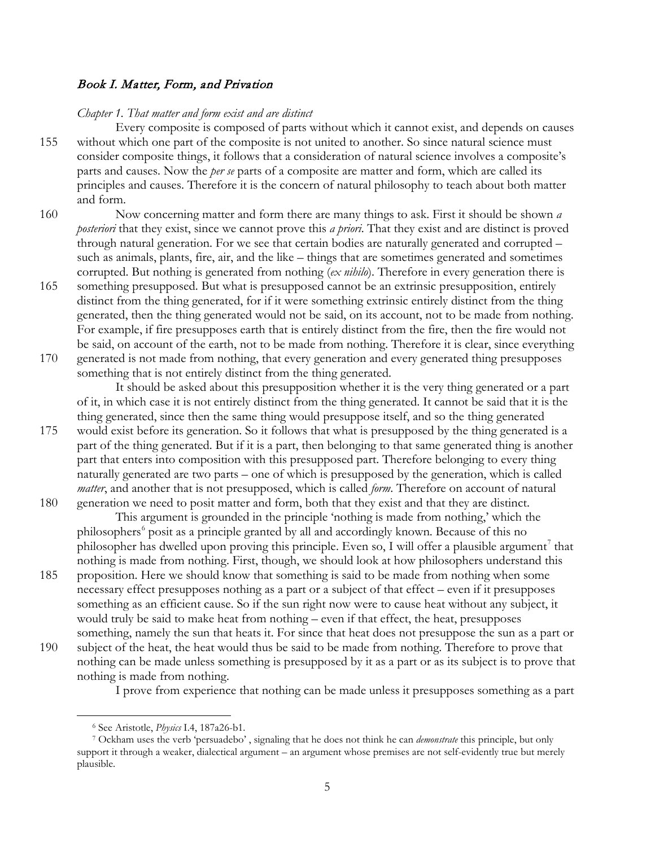## Book I. Matter, Form, and Privation

#### *Chapter 1. That matter and form exist and are distinct*

Every composite is composed of parts without which it cannot exist, and depends on causes 155 without which one part of the composite is not united to another. So since natural science must consider composite things, it follows that a consideration of natural science involves a composite's parts and causes. Now the *per se* parts of a composite are matter and form, which are called its principles and causes. Therefore it is the concern of natural philosophy to teach about both matter and form.

160 Now concerning matter and form there are many things to ask. First it should be shown *a posteriori* that they exist, since we cannot prove this *a priori*. That they exist and are distinct is proved through natural generation. For we see that certain bodies are naturally generated and corrupted – such as animals, plants, fire, air, and the like – things that are sometimes generated and sometimes corrupted. But nothing is generated from nothing (*ex nihilo*). Therefore in every generation there is

165 something presupposed. But what is presupposed cannot be an extrinsic presupposition, entirely distinct from the thing generated, for if it were something extrinsic entirely distinct from the thing generated, then the thing generated would not be said, on its account, not to be made from nothing. For example, if fire presupposes earth that is entirely distinct from the fire, then the fire would not be said, on account of the earth, not to be made from nothing. Therefore it is clear, since everything 170 generated is not made from nothing, that every generation and every generated thing presupposes

something that is not entirely distinct from the thing generated. It should be asked about this presupposition whether it is the very thing generated or a part of it, in which case it is not entirely distinct from the thing generated. It cannot be said that it is the thing generated, since then the same thing would presuppose itself, and so the thing generated

175 would exist before its generation. So it follows that what is presupposed by the thing generated is a part of the thing generated. But if it is a part, then belonging to that same generated thing is another part that enters into composition with this presupposed part. Therefore belonging to every thing naturally generated are two parts – one of which is presupposed by the generation, which is called *matter*, and another that is not presupposed, which is called *form*. Therefore on account of natural 180 generation we need to posit matter and form, both that they exist and that they are distinct.

This argument is grounded in the principle 'nothing is made from nothing,' which the philosophers<sup>[6](#page-4-0)</sup> posit as a principle granted by all and accordingly known. Because of this no philosopher has dwelled upon proving this principle. Even so, I will offer a plausible argument<sup>[7](#page-4-1)</sup> that nothing is made from nothing. First, though, we should look at how philosophers understand this

- 185 proposition. Here we should know that something is said to be made from nothing when some necessary effect presupposes nothing as a part or a subject of that effect – even if it presupposes something as an efficient cause. So if the sun right now were to cause heat without any subject, it would truly be said to make heat from nothing – even if that effect, the heat, presupposes something, namely the sun that heats it. For since that heat does not presuppose the sun as a part or
- 190 subject of the heat, the heat would thus be said to be made from nothing. Therefore to prove that nothing can be made unless something is presupposed by it as a part or as its subject is to prove that nothing is made from nothing.

I prove from experience that nothing can be made unless it presupposes something as a part

<sup>6</sup> See Aristotle, *Physics* I.4, 187a26-b1.

<span id="page-4-1"></span><span id="page-4-0"></span><sup>7</sup> Ockham uses the verb 'persuadebo' , signaling that he does not think he can *demonstrate* this principle, but only support it through a weaker, dialectical argument – an argument whose premises are not self-evidently true but merely plausible.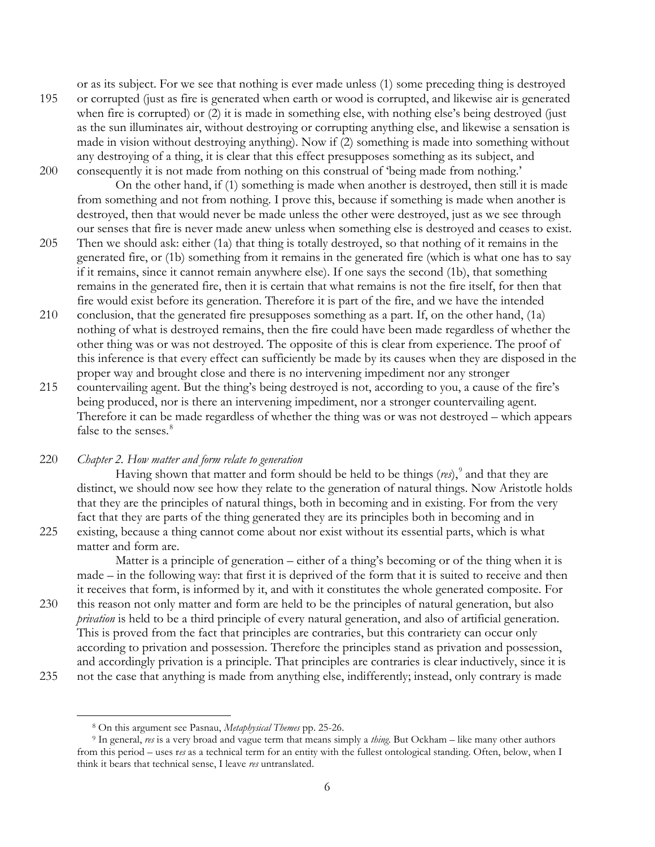or as its subject. For we see that nothing is ever made unless (1) some preceding thing is destroyed 195 or corrupted (just as fire is generated when earth or wood is corrupted, and likewise air is generated when fire is corrupted) or (2) it is made in something else, with nothing else's being destroyed (just as the sun illuminates air, without destroying or corrupting anything else, and likewise a sensation is made in vision without destroying anything). Now if (2) something is made into something without any destroying of a thing, it is clear that this effect presupposes something as its subject, and 200 consequently it is not made from nothing on this construal of 'being made from nothing.'

On the other hand, if (1) something is made when another is destroyed, then still it is made from something and not from nothing. I prove this, because if something is made when another is destroyed, then that would never be made unless the other were destroyed, just as we see through our senses that fire is never made anew unless when something else is destroyed and ceases to exist.

- 205 Then we should ask: either (1a) that thing is totally destroyed, so that nothing of it remains in the generated fire, or (1b) something from it remains in the generated fire (which is what one has to say if it remains, since it cannot remain anywhere else). If one says the second (1b), that something remains in the generated fire, then it is certain that what remains is not the fire itself, for then that fire would exist before its generation. Therefore it is part of the fire, and we have the intended
- 210 conclusion, that the generated fire presupposes something as a part. If, on the other hand, (1a) nothing of what is destroyed remains, then the fire could have been made regardless of whether the other thing was or was not destroyed. The opposite of this is clear from experience. The proof of this inference is that every effect can sufficiently be made by its causes when they are disposed in the proper way and brought close and there is no intervening impediment nor any stronger
- 215 countervailing agent. But the thing's being destroyed is not, according to you, a cause of the fire's being produced, nor is there an intervening impediment, nor a stronger countervailing agent. Therefore it can be made regardless of whether the thing was or was not destroyed – which appears false to the senses.<sup>[8](#page-5-0)</sup>

220 *Chapter 2. How matter and form relate to generation*

Having shown that matter and form should be held to be things  $(rei)$ ,  $\frac{9}{2}$  $\frac{9}{2}$  $\frac{9}{2}$  and that they are distinct, we should now see how they relate to the generation of natural things. Now Aristotle holds that they are the principles of natural things, both in becoming and in existing. For from the very fact that they are parts of the thing generated they are its principles both in becoming and in 225 existing, because a thing cannot come about nor exist without its essential parts, which is what

matter and form are.

Matter is a principle of generation – either of a thing's becoming or of the thing when it is made – in the following way: that first it is deprived of the form that it is suited to receive and then it receives that form, is informed by it, and with it constitutes the whole generated composite. For 230 this reason not only matter and form are held to be the principles of natural generation, but also *privation* is held to be a third principle of every natural generation, and also of artificial generation. This is proved from the fact that principles are contraries, but this contrariety can occur only according to privation and possession. Therefore the principles stand as privation and possession, and accordingly privation is a principle. That principles are contraries is clear inductively, since it is 235 not the case that anything is made from anything else, indifferently; instead, only contrary is made

<span id="page-5-1"></span><span id="page-5-0"></span>

<sup>8</sup> On this argument see Pasnau, *Metaphysical Themes* pp. 25-26.

<sup>9</sup> In general, *res* is a very broad and vague term that means simply a *thing*. But Ockham – like many other authors from this period – uses r*es* as a technical term for an entity with the fullest ontological standing. Often, below, when I think it bears that technical sense, I leave *res* untranslated.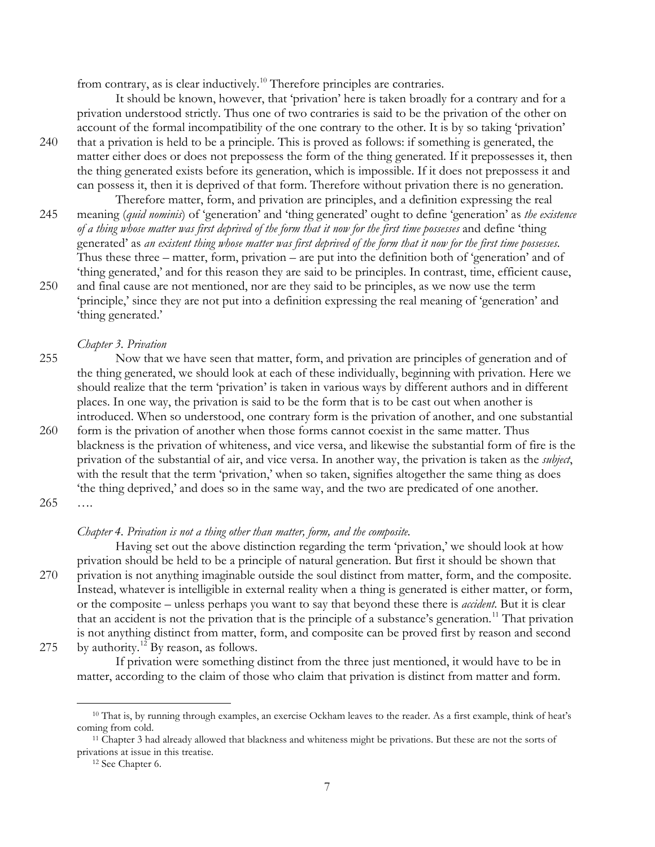from contrary, as is clear inductively.<sup>[10](#page-6-0)</sup> Therefore principles are contraries.

It should be known, however, that 'privation' here is taken broadly for a contrary and for a privation understood strictly. Thus one of two contraries is said to be the privation of the other on account of the formal incompatibility of the one contrary to the other. It is by so taking 'privation'

- 240 that a privation is held to be a principle. This is proved as follows: if something is generated, the matter either does or does not prepossess the form of the thing generated. If it prepossesses it, then the thing generated exists before its generation, which is impossible. If it does not prepossess it and can possess it, then it is deprived of that form. Therefore without privation there is no generation.
- Therefore matter, form, and privation are principles, and a definition expressing the real 245 meaning (*quid nominis*) of 'generation' and 'thing generated' ought to define 'generation' as *the existence of a thing whose matter was first deprived of the form that it now for the first time possesses* and define 'thing generated' as *an existent thing whose matter was first deprived of the form that it now for the first time possesses*. Thus these three – matter, form, privation – are put into the definition both of 'generation' and of 'thing generated,' and for this reason they are said to be principles. In contrast, time, efficient cause, 250 and final cause are not mentioned, nor are they said to be principles, as we now use the term
- 'principle,' since they are not put into a definition expressing the real meaning of 'generation' and 'thing generated.'

## *Chapter 3. Privation*

255 Now that we have seen that matter, form, and privation are principles of generation and of the thing generated, we should look at each of these individually, beginning with privation. Here we should realize that the term 'privation' is taken in various ways by different authors and in different places. In one way, the privation is said to be the form that is to be cast out when another is introduced. When so understood, one contrary form is the privation of another, and one substantial 260 form is the privation of another when those forms cannot coexist in the same matter. Thus blackness is the privation of whiteness, and vice versa, and likewise the substantial form of fire is the privation of the substantial of air, and vice versa. In another way, the privation is taken as the *subject*, with the result that the term 'privation,' when so taken, signifies altogether the same thing as does 'the thing deprived,' and does so in the same way, and the two are predicated of one another. 265 ….

## *Chapter 4. Privation is not a thing other than matter, form, and the composite.*

Having set out the above distinction regarding the term 'privation,' we should look at how privation should be held to be a principle of natural generation. But first it should be shown that 270 privation is not anything imaginable outside the soul distinct from matter, form, and the composite. Instead, whatever is intelligible in external reality when a thing is generated is either matter, or form, or the composite – unless perhaps you want to say that beyond these there is *accident*. But it is clear that an accident is not the privation that is the principle of a substance's generation.<sup>[11](#page-6-1)</sup> That privation is not anything distinct from matter, form, and composite can be proved first by reason and second 275 by authority.<sup>[12](#page-6-2)</sup> By reason, as follows.

<span id="page-6-0"></span>

If privation were something distinct from the three just mentioned, it would have to be in matter, according to the claim of those who claim that privation is distinct from matter and form.

<sup>&</sup>lt;sup>10</sup> That is, by running through examples, an exercise Ockham leaves to the reader. As a first example, think of heat's coming from cold.

<span id="page-6-2"></span><span id="page-6-1"></span><sup>11</sup> Chapter 3 had already allowed that blackness and whiteness might be privations. But these are not the sorts of privations at issue in this treatise.

<sup>12</sup> See Chapter 6.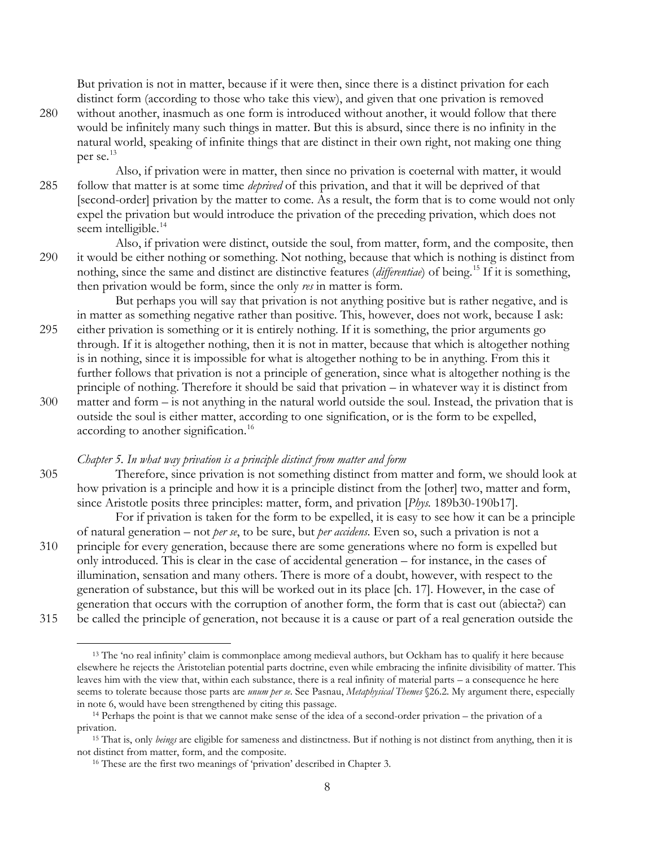But privation is not in matter, because if it were then, since there is a distinct privation for each distinct form (according to those who take this view), and given that one privation is removed 280 without another, inasmuch as one form is introduced without another, it would follow that there would be infinitely many such things in matter. But this is absurd, since there is no infinity in the

natural world, speaking of infinite things that are distinct in their own right, not making one thing per se.<sup>[13](#page-7-0)</sup>

Also, if privation were in matter, then since no privation is coeternal with matter, it would 285 follow that matter is at some time *deprived* of this privation, and that it will be deprived of that [second-order] privation by the matter to come. As a result, the form that is to come would not only expel the privation but would introduce the privation of the preceding privation, which does not seem intelligible.<sup>[14](#page-7-1)</sup>

Also, if privation were distinct, outside the soul, from matter, form, and the composite, then 290 it would be either nothing or something. Not nothing, because that which is nothing is distinct from nothing, since the same and distinct are distinctive features *(differentiae)* of being.<sup>[15](#page-7-2)</sup> If it is something, then privation would be form, since the only *res* in matter is form.

But perhaps you will say that privation is not anything positive but is rather negative, and is in matter as something negative rather than positive. This, however, does not work, because I ask: 295 either privation is something or it is entirely nothing. If it is something, the prior arguments go through. If it is altogether nothing, then it is not in matter, because that which is altogether nothing is in nothing, since it is impossible for what is altogether nothing to be in anything. From this it further follows that privation is not a principle of generation, since what is altogether nothing is the principle of nothing. Therefore it should be said that privation – in whatever way it is distinct from 300 matter and form – is not anything in the natural world outside the soul. Instead, the privation that is outside the soul is either matter, according to one signification, or is the form to be expelled, according to another signification.<sup>[16](#page-7-3)</sup>

## *Chapter 5. In what way privation is a principle distinct from matter and form*

305 Therefore, since privation is not something distinct from matter and form, we should look at how privation is a principle and how it is a principle distinct from the [other] two, matter and form, since Aristotle posits three principles: matter, form, and privation [*Phys.* 189b30-190b17].

For if privation is taken for the form to be expelled, it is easy to see how it can be a principle of natural generation – not *per se*, to be sure, but *per accidens*. Even so, such a privation is not a 310 principle for every generation, because there are some generations where no form is expelled but only introduced. This is clear in the case of accidental generation – for instance, in the cases of illumination, sensation and many others. There is more of a doubt, however, with respect to the generation of substance, but this will be worked out in its place [ch. 17]. However, in the case of generation that occurs with the corruption of another form, the form that is cast out (abiecta?) can 315 be called the principle of generation, not because it is a cause or part of a real generation outside the

<span id="page-7-0"></span>

8

<sup>13</sup> The 'no real infinity' claim is commonplace among medieval authors, but Ockham has to qualify it here because elsewhere he rejects the Aristotelian potential parts doctrine, even while embracing the infinite divisibility of matter. This leaves him with the view that, within each substance, there is a real infinity of material parts – a consequence he here seems to tolerate because those parts are *unum per se*. See Pasnau, *Metaphysical Themes* §26.2. My argument there, especially in note 6, would have been strengthened by citing this passage.  $\overline{a}$ 

<span id="page-7-1"></span><sup>14</sup> Perhaps the point is that we cannot make sense of the idea of a second-order privation – the privation of a privation. 15 That is, only *beings* are eligible for sameness and distinctness. But if nothing is not distinct from anything, then it is

<span id="page-7-3"></span><span id="page-7-2"></span>not distinct from matter, form, and the composite.

<sup>&</sup>lt;sup>16</sup> These are the first two meanings of 'privation' described in Chapter 3.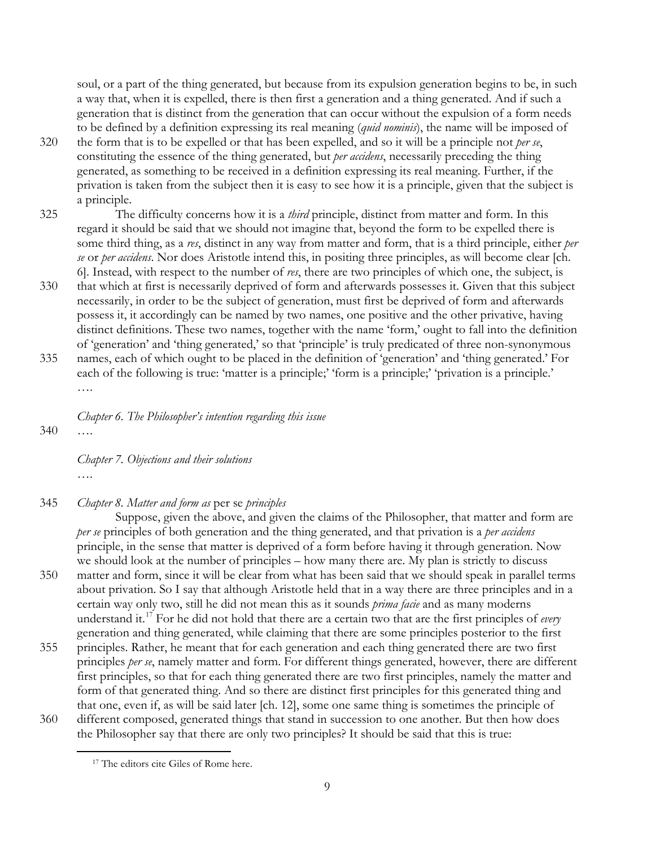soul, or a part of the thing generated, but because from its expulsion generation begins to be, in such a way that, when it is expelled, there is then first a generation and a thing generated. And if such a generation that is distinct from the generation that can occur without the expulsion of a form needs to be defined by a definition expressing its real meaning (*quid nominis*), the name will be imposed of

- 320 the form that is to be expelled or that has been expelled, and so it will be a principle not *per se*, constituting the essence of the thing generated, but *per accidens*, necessarily preceding the thing generated, as something to be received in a definition expressing its real meaning. Further, if the privation is taken from the subject then it is easy to see how it is a principle, given that the subject is a principle.
- 325 The difficulty concerns how it is a *third* principle, distinct from matter and form. In this regard it should be said that we should not imagine that, beyond the form to be expelled there is some third thing, as a *res*, distinct in any way from matter and form, that is a third principle, either *per se* or *per accidens*. Nor does Aristotle intend this, in positing three principles, as will become clear [ch. 6]. Instead, with respect to the number of *res*, there are two principles of which one, the subject, is
- 330 that which at first is necessarily deprived of form and afterwards possesses it. Given that this subject necessarily, in order to be the subject of generation, must first be deprived of form and afterwards possess it, it accordingly can be named by two names, one positive and the other privative, having distinct definitions. These two names, together with the name 'form,' ought to fall into the definition of 'generation' and 'thing generated,' so that 'principle' is truly predicated of three non-synonymous 335 names, each of which ought to be placed in the definition of 'generation' and 'thing generated.' For
- each of the following is true: 'matter is a principle;' 'form is a principle;' 'privation is a principle.' ….
- *Chapter 6. The Philosopher's intention regarding this issue* 340 ….

*Chapter 7. Objections and their solutions* ….

345 *Chapter 8. Matter and form as* per se *principles*

Suppose, given the above, and given the claims of the Philosopher, that matter and form are *per se* principles of both generation and the thing generated, and that privation is a *per accidens* principle, in the sense that matter is deprived of a form before having it through generation. Now we should look at the number of principles – how many there are. My plan is strictly to discuss 350 matter and form, since it will be clear from what has been said that we should speak in parallel terms

- about privation. So I say that although Aristotle held that in a way there are three principles and in a certain way only two, still he did not mean this as it sounds *prima facie* and as many moderns understand it.[17](#page-8-0) For he did not hold that there are a certain two that are the first principles of *every* generation and thing generated, while claiming that there are some principles posterior to the first
- 355 principles. Rather, he meant that for each generation and each thing generated there are two first principles *per se*, namely matter and form. For different things generated, however, there are different first principles, so that for each thing generated there are two first principles, namely the matter and form of that generated thing. And so there are distinct first principles for this generated thing and that one, even if, as will be said later [ch. 12], some one same thing is sometimes the principle of 360 different composed, generated things that stand in succession to one another. But then how does
- <span id="page-8-0"></span>the Philosopher say that there are only two principles? It should be said that this is true:  $\overline{a}$

<sup>&</sup>lt;sup>17</sup> The editors cite Giles of Rome here.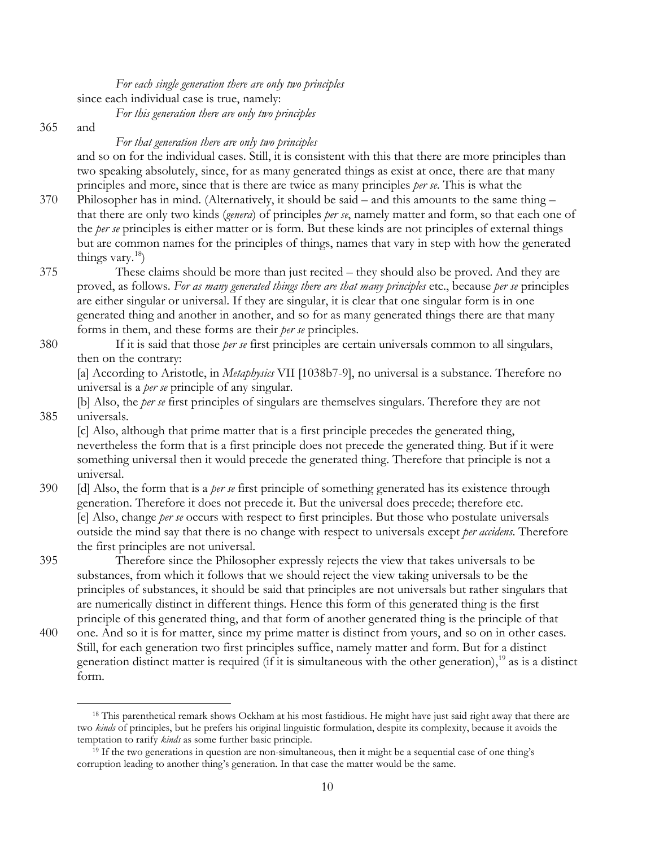*For each single generation there are only two principles* since each individual case is true, namely: *For this generation there are only two principles*

365 and

 $\overline{a}$ 

## *For that generation there are only two principles*

and so on for the individual cases. Still, it is consistent with this that there are more principles than two speaking absolutely, since, for as many generated things as exist at once, there are that many principles and more, since that is there are twice as many principles *per se*. This is what the

- 370 Philosopher has in mind. (Alternatively, it should be said and this amounts to the same thing that there are only two kinds (*genera*) of principles *per se*, namely matter and form, so that each one of the *per se* principles is either matter or is form. But these kinds are not principles of external things but are common names for the principles of things, names that vary in step with how the generated things vary. $^{18}$  $^{18}$  $^{18}$ )
- 375 These claims should be more than just recited they should also be proved. And they are proved, as follows. *For as many generated things there are that many principles* etc., because *per se* principles are either singular or universal. If they are singular, it is clear that one singular form is in one generated thing and another in another, and so for as many generated things there are that many forms in them, and these forms are their *per se* principles.
- 380 If it is said that those *per se* first principles are certain universals common to all singulars, then on the contrary:

[a] According to Aristotle, in *Metaphysics* VII [1038b7-9], no universal is a substance. Therefore no universal is a *per se* principle of any singular.

[b] Also, the *per se* first principles of singulars are themselves singulars. Therefore they are not 385 universals.

[c] Also, although that prime matter that is a first principle precedes the generated thing, nevertheless the form that is a first principle does not precede the generated thing. But if it were something universal then it would precede the generated thing. Therefore that principle is not a universal.

- 390 [d] Also, the form that is a *per se* first principle of something generated has its existence through generation. Therefore it does not precede it. But the universal does precede; therefore etc. [e] Also, change *per se* occurs with respect to first principles. But those who postulate universals outside the mind say that there is no change with respect to universals except *per accidens*. Therefore the first principles are not universal.
- 395 Therefore since the Philosopher expressly rejects the view that takes universals to be substances, from which it follows that we should reject the view taking universals to be the principles of substances, it should be said that principles are not universals but rather singulars that are numerically distinct in different things. Hence this form of this generated thing is the first principle of this generated thing, and that form of another generated thing is the principle of that
- 400 one. And so it is for matter, since my prime matter is distinct from yours, and so on in other cases. Still, for each generation two first principles suffice, namely matter and form. But for a distinct generation distinct matter is required (if it is simultaneous with the other generation),<sup>[19](#page-9-1)</sup> as is a distinct form.

<span id="page-9-0"></span><sup>&</sup>lt;sup>18</sup> This parenthetical remark shows Ockham at his most fastidious. He might have just said right away that there are two *kinds* of principles, but he prefers his original linguistic formulation, despite its complexity, because it avoids the temptation to rarify *kinds* as some further basic principle.

<span id="page-9-1"></span> $19$  If the two generations in question are non-simultaneous, then it might be a sequential case of one thing's corruption leading to another thing's generation. In that case the matter would be the same.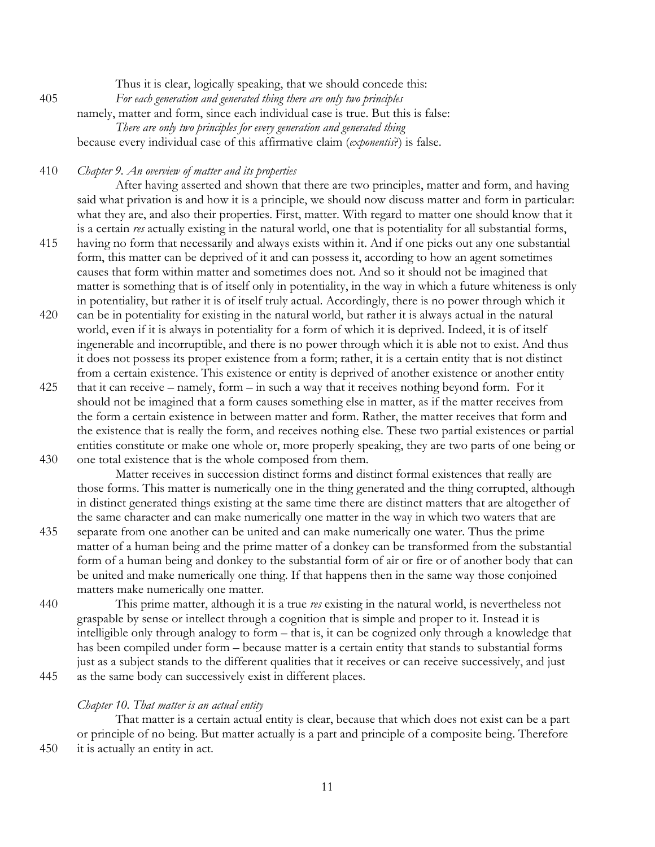Thus it is clear, logically speaking, that we should concede this: 405 *For each generation and generated thing there are only two principles* namely, matter and form, since each individual case is true. But this is false: *There are only two principles for every generation and generated thing* because every individual case of this affirmative claim (*exponentis*?) is false.

410 *Chapter 9. An overview of matter and its properties*

After having asserted and shown that there are two principles, matter and form, and having said what privation is and how it is a principle, we should now discuss matter and form in particular: what they are, and also their properties. First, matter. With regard to matter one should know that it is a certain *res* actually existing in the natural world, one that is potentiality for all substantial forms,

- 415 having no form that necessarily and always exists within it. And if one picks out any one substantial form, this matter can be deprived of it and can possess it, according to how an agent sometimes causes that form within matter and sometimes does not. And so it should not be imagined that matter is something that is of itself only in potentiality, in the way in which a future whiteness is only in potentiality, but rather it is of itself truly actual. Accordingly, there is no power through which it
- 420 can be in potentiality for existing in the natural world, but rather it is always actual in the natural world, even if it is always in potentiality for a form of which it is deprived. Indeed, it is of itself ingenerable and incorruptible, and there is no power through which it is able not to exist. And thus it does not possess its proper existence from a form; rather, it is a certain entity that is not distinct from a certain existence. This existence or entity is deprived of another existence or another entity
- 425 that it can receive namely, form in such a way that it receives nothing beyond form. For it should not be imagined that a form causes something else in matter, as if the matter receives from the form a certain existence in between matter and form. Rather, the matter receives that form and the existence that is really the form, and receives nothing else. These two partial existences or partial entities constitute or make one whole or, more properly speaking, they are two parts of one being or 430 one total existence that is the whole composed from them.

Matter receives in succession distinct forms and distinct formal existences that really are those forms. This matter is numerically one in the thing generated and the thing corrupted, although in distinct generated things existing at the same time there are distinct matters that are altogether of the same character and can make numerically one matter in the way in which two waters that are

- 435 separate from one another can be united and can make numerically one water. Thus the prime matter of a human being and the prime matter of a donkey can be transformed from the substantial form of a human being and donkey to the substantial form of air or fire or of another body that can be united and make numerically one thing. If that happens then in the same way those conjoined matters make numerically one matter.
- 440 This prime matter, although it is a true *res* existing in the natural world, is nevertheless not graspable by sense or intellect through a cognition that is simple and proper to it. Instead it is intelligible only through analogy to form – that is, it can be cognized only through a knowledge that has been compiled under form – because matter is a certain entity that stands to substantial forms just as a subject stands to the different qualities that it receives or can receive successively, and just 445 as the same body can successively exist in different places.

### *Chapter 10. That matter is an actual entity*

That matter is a certain actual entity is clear, because that which does not exist can be a part or principle of no being. But matter actually is a part and principle of a composite being. Therefore 450 it is actually an entity in act.

11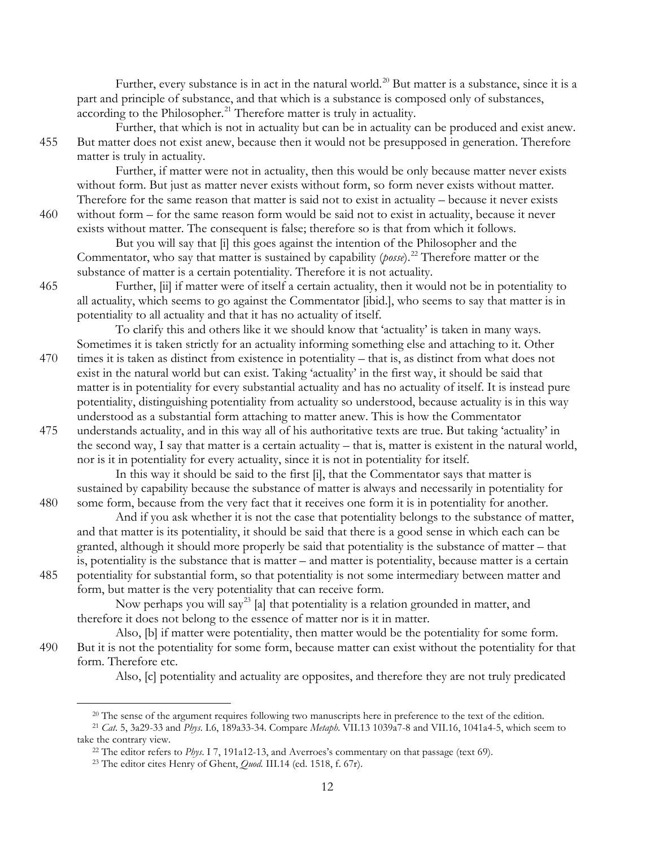Further, every substance is in act in the natural world.<sup>[20](#page-11-0)</sup> But matter is a substance, since it is a part and principle of substance, and that which is a substance is composed only of substances, according to the Philosopher.<sup>[21](#page-11-1)</sup> Therefore matter is truly in actuality.

Further, that which is not in actuality but can be in actuality can be produced and exist anew. 455 But matter does not exist anew, because then it would not be presupposed in generation. Therefore matter is truly in actuality.

Further, if matter were not in actuality, then this would be only because matter never exists without form. But just as matter never exists without form, so form never exists without matter. Therefore for the same reason that matter is said not to exist in actuality – because it never exists 460 without form – for the same reason form would be said not to exist in actuality, because it never exists without matter. The consequent is false; therefore so is that from which it follows.

But you will say that [i] this goes against the intention of the Philosopher and the Commentator, who say that matter is sustained by capability (*posse*).<sup>[22](#page-11-2)</sup> Therefore matter or the substance of matter is a certain potentiality. Therefore it is not actuality.

465 Further, [ii] if matter were of itself a certain actuality, then it would not be in potentiality to all actuality, which seems to go against the Commentator [ibid.], who seems to say that matter is in potentiality to all actuality and that it has no actuality of itself.

To clarify this and others like it we should know that 'actuality' is taken in many ways. Sometimes it is taken strictly for an actuality informing something else and attaching to it. Other 470 times it is taken as distinct from existence in potentiality – that is, as distinct from what does not

exist in the natural world but can exist. Taking 'actuality' in the first way, it should be said that matter is in potentiality for every substantial actuality and has no actuality of itself. It is instead pure potentiality, distinguishing potentiality from actuality so understood, because actuality is in this way understood as a substantial form attaching to matter anew. This is how the Commentator

475 understands actuality, and in this way all of his authoritative texts are true. But taking 'actuality' in the second way, I say that matter is a certain actuality – that is, matter is existent in the natural world, nor is it in potentiality for every actuality, since it is not in potentiality for itself.

In this way it should be said to the first [i], that the Commentator says that matter is sustained by capability because the substance of matter is always and necessarily in potentiality for 480 some form, because from the very fact that it receives one form it is in potentiality for another.

And if you ask whether it is not the case that potentiality belongs to the substance of matter, and that matter is its potentiality, it should be said that there is a good sense in which each can be granted, although it should more properly be said that potentiality is the substance of matter – that is, potentiality is the substance that is matter – and matter is potentiality, because matter is a certain 485 potentiality for substantial form, so that potentiality is not some intermediary between matter and form, but matter is the very potentiality that can receive form.

Now perhaps you will say<sup>[23](#page-11-3)</sup> [a] that potentiality is a relation grounded in matter, and therefore it does not belong to the essence of matter nor is it in matter.

Also, [b] if matter were potentiality, then matter would be the potentiality for some form. 490 But it is not the potentiality for some form, because matter can exist without the potentiality for that form. Therefore etc.

Also, [c] potentiality and actuality are opposites, and therefore they are not truly predicated

<span id="page-11-3"></span><span id="page-11-2"></span><span id="page-11-1"></span><span id="page-11-0"></span><sup>21</sup> *Cat*. 5, 3a29-33 and *Phys*. I.6, 189a33-34. Compare *Metaph.* VII.13 1039a7-8 and VII.16, 1041a4-5, which seem to take the contrary view.

<sup>&</sup>lt;sup>20</sup> The sense of the argument requires following two manuscripts here in preference to the text of the edition.

<sup>22</sup> The editor refers to *Phys*. I 7, 191a12-13, and Averroes's commentary on that passage (text 69).

<sup>23</sup> The editor cites Henry of Ghent, *Quod.* III.14 (ed. 1518, f. 67r).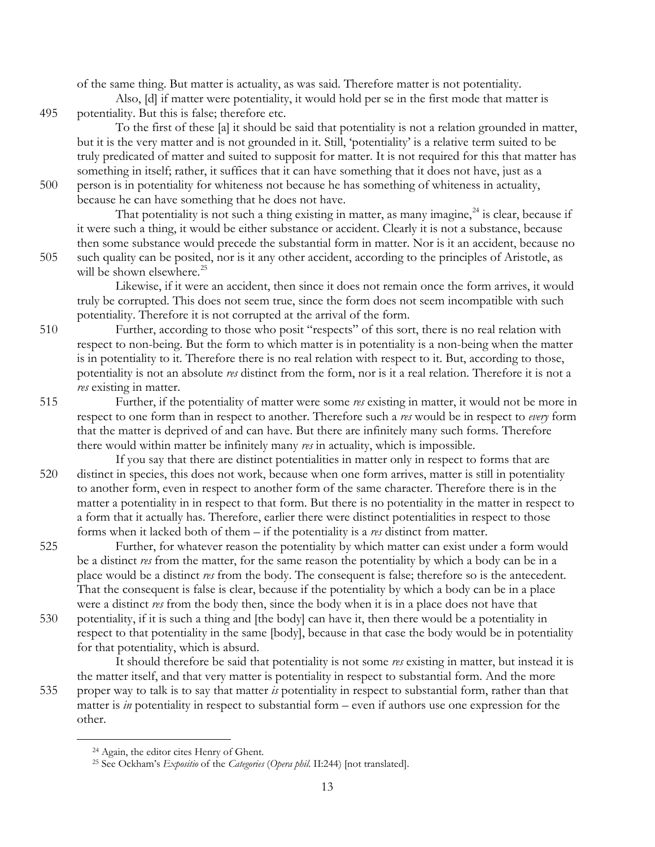of the same thing. But matter is actuality, as was said. Therefore matter is not potentiality.

Also, [d] if matter were potentiality, it would hold per se in the first mode that matter is 495 potentiality. But this is false; therefore etc.

To the first of these [a] it should be said that potentiality is not a relation grounded in matter, but it is the very matter and is not grounded in it. Still, 'potentiality' is a relative term suited to be truly predicated of matter and suited to supposit for matter. It is not required for this that matter has something in itself; rather, it suffices that it can have something that it does not have, just as a 500 person is in potentiality for whiteness not because he has something of whiteness in actuality,

because he can have something that he does not have.

That potentiality is not such a thing existing in matter, as many imagine,  $24$  is clear, because if it were such a thing, it would be either substance or accident. Clearly it is not a substance, because then some substance would precede the substantial form in matter. Nor is it an accident, because no 505 such quality can be posited, nor is it any other accident, according to the principles of Aristotle, as will be shown elsewhere. $^{25}$ 

Likewise, if it were an accident, then since it does not remain once the form arrives, it would truly be corrupted. This does not seem true, since the form does not seem incompatible with such potentiality. Therefore it is not corrupted at the arrival of the form.

- 510 Further, according to those who posit "respects" of this sort, there is no real relation with respect to non-being. But the form to which matter is in potentiality is a non-being when the matter is in potentiality to it. Therefore there is no real relation with respect to it. But, according to those, potentiality is not an absolute *res* distinct from the form, nor is it a real relation. Therefore it is not a *res* existing in matter.
- 515 Further, if the potentiality of matter were some *res* existing in matter, it would not be more in respect to one form than in respect to another. Therefore such a *res* would be in respect to *every* form that the matter is deprived of and can have. But there are infinitely many such forms. Therefore there would within matter be infinitely many *res* in actuality, which is impossible.
- If you say that there are distinct potentialities in matter only in respect to forms that are 520 distinct in species, this does not work, because when one form arrives, matter is still in potentiality to another form, even in respect to another form of the same character. Therefore there is in the matter a potentiality in in respect to that form. But there is no potentiality in the matter in respect to a form that it actually has. Therefore, earlier there were distinct potentialities in respect to those forms when it lacked both of them – if the potentiality is a *res* distinct from matter.
- 525 Further, for whatever reason the potentiality by which matter can exist under a form would be a distinct *res* from the matter, for the same reason the potentiality by which a body can be in a place would be a distinct *res* from the body. The consequent is false; therefore so is the antecedent. That the consequent is false is clear, because if the potentiality by which a body can be in a place were a distinct *res* from the body then, since the body when it is in a place does not have that
- 530 potentiality, if it is such a thing and [the body] can have it, then there would be a potentiality in respect to that potentiality in the same [body], because in that case the body would be in potentiality for that potentiality, which is absurd.

It should therefore be said that potentiality is not some *res* existing in matter, but instead it is the matter itself, and that very matter is potentiality in respect to substantial form. And the more 535 proper way to talk is to say that matter *is* potentiality in respect to substantial form, rather than that matter is *in* potentiality in respect to substantial form – even if authors use one expression for the

<span id="page-12-1"></span><span id="page-12-0"></span>other.

<sup>&</sup>lt;sup>24</sup> Again, the editor cites Henry of Ghent.

<sup>25</sup> See Ockham's *Expositio* of the *Categories* (*Opera phil*. II:244) [not translated].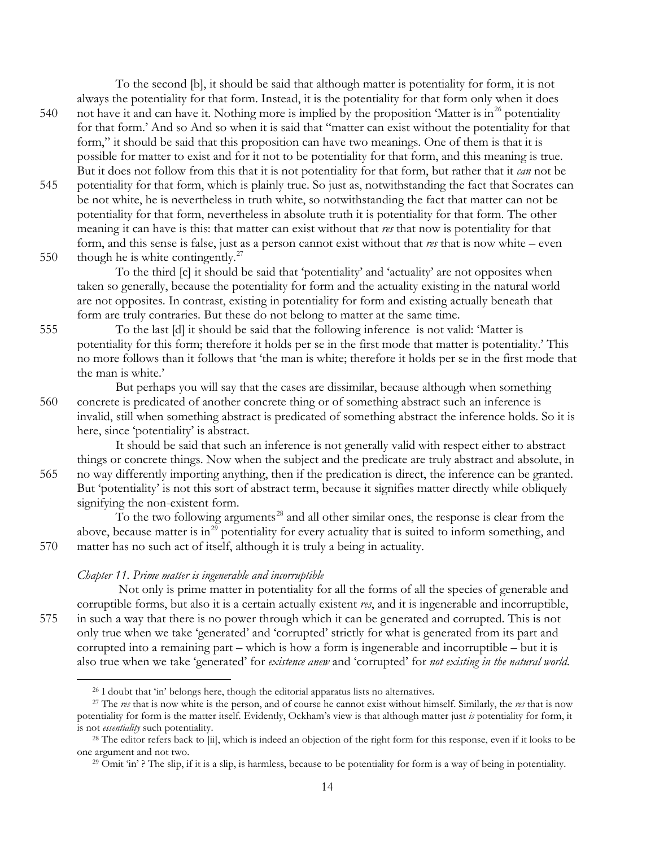To the second [b], it should be said that although matter is potentiality for form, it is not

- always the potentiality for that form. Instead, it is the potentiality for that form only when it does 540 not have it and can have it. Nothing more is implied by the proposition 'Matter is in<sup>[26](#page-13-0)</sup> potentiality for that form.' And so And so when it is said that "matter can exist without the potentiality for that form," it should be said that this proposition can have two meanings. One of them is that it is possible for matter to exist and for it not to be potentiality for that form, and this meaning is true. But it does not follow from this that it is not potentiality for that form, but rather that it *can* not be
- 545 potentiality for that form, which is plainly true. So just as, notwithstanding the fact that Socrates can be not white, he is nevertheless in truth white, so notwithstanding the fact that matter can not be potentiality for that form, nevertheless in absolute truth it is potentiality for that form. The other meaning it can have is this: that matter can exist without that *res* that now is potentiality for that form, and this sense is false, just as a person cannot exist without that *res* that is now white – even
- 550 though he is white contingently.<sup>[27](#page-13-1)</sup>

To the third [c] it should be said that 'potentiality' and 'actuality' are not opposites when taken so generally, because the potentiality for form and the actuality existing in the natural world are not opposites. In contrast, existing in potentiality for form and existing actually beneath that form are truly contraries. But these do not belong to matter at the same time.

555 To the last [d] it should be said that the following inference is not valid: 'Matter is potentiality for this form; therefore it holds per se in the first mode that matter is potentiality.' This no more follows than it follows that 'the man is white; therefore it holds per se in the first mode that the man is white.'

But perhaps you will say that the cases are dissimilar, because although when something 560 concrete is predicated of another concrete thing or of something abstract such an inference is

invalid, still when something abstract is predicated of something abstract the inference holds. So it is here, since 'potentiality' is abstract.

It should be said that such an inference is not generally valid with respect either to abstract things or concrete things. Now when the subject and the predicate are truly abstract and absolute, in 565 no way differently importing anything, then if the predication is direct, the inference can be granted. But 'potentiality' is not this sort of abstract term, because it signifies matter directly while obliquely signifying the non-existent form.

To the two following arguments<sup>[28](#page-13-2)</sup> and all other similar ones, the response is clear from the above, because matter is in<sup>[29](#page-13-3)</sup> potentiality for every actuality that is suited to inform something, and 570 matter has no such act of itself, although it is truly a being in actuality.

### *Chapter 11. Prime matter is ingenerable and incorruptible*

Not only is prime matter in potentiality for all the forms of all the species of generable and corruptible forms, but also it is a certain actually existent *res*, and it is ingenerable and incorruptible, 575 in such a way that there is no power through which it can be generated and corrupted. This is not only true when we take 'generated' and 'corrupted' strictly for what is generated from its part and corrupted into a remaining part – which is how a form is ingenerable and incorruptible – but it is also true when we take 'generated' for *existence anew* and 'corrupted' for *not existing in the natural world*.

<sup>&</sup>lt;sup>26</sup> I doubt that 'in' belongs here, though the editorial apparatus lists no alternatives.

<span id="page-13-1"></span><span id="page-13-0"></span><sup>27</sup> The *res* that is now white is the person, and of course he cannot exist without himself. Similarly, the *res* that is now potentiality for form is the matter itself. Evidently, Ockham's view is that although matter just *is* potentiality for form, it is not *essentiality* such potentiality.

<span id="page-13-3"></span><span id="page-13-2"></span><sup>&</sup>lt;sup>28</sup> The editor refers back to [ii], which is indeed an objection of the right form for this response, even if it looks to be one argument and not two.

<sup>&</sup>lt;sup>29</sup> Omit 'in' ? The slip, if it is a slip, is harmless, because to be potentiality for form is a way of being in potentiality.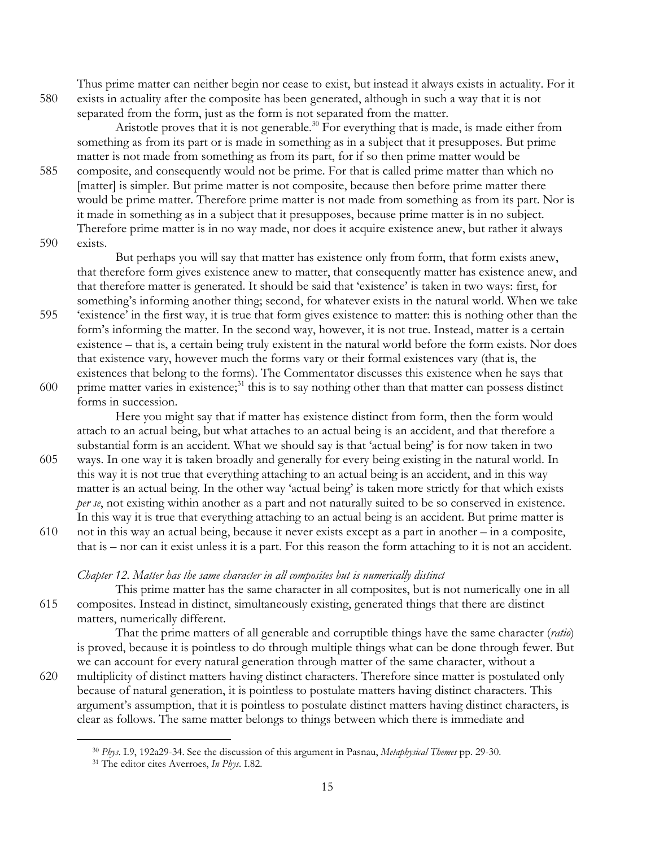Thus prime matter can neither begin nor cease to exist, but instead it always exists in actuality. For it 580 exists in actuality after the composite has been generated, although in such a way that it is not separated from the form, just as the form is not separated from the matter.

Aristotle proves that it is not generable.<sup>[30](#page-14-0)</sup> For everything that is made, is made either from something as from its part or is made in something as in a subject that it presupposes. But prime matter is not made from something as from its part, for if so then prime matter would be

- 585 composite, and consequently would not be prime. For that is called prime matter than which no [matter] is simpler. But prime matter is not composite, because then before prime matter there would be prime matter. Therefore prime matter is not made from something as from its part. Nor is it made in something as in a subject that it presupposes, because prime matter is in no subject. Therefore prime matter is in no way made, nor does it acquire existence anew, but rather it always 590 exists.
- 

But perhaps you will say that matter has existence only from form, that form exists anew, that therefore form gives existence anew to matter, that consequently matter has existence anew, and that therefore matter is generated. It should be said that 'existence' is taken in two ways: first, for something's informing another thing; second, for whatever exists in the natural world. When we take

- 595 'existence' in the first way, it is true that form gives existence to matter: this is nothing other than the form's informing the matter. In the second way, however, it is not true. Instead, matter is a certain existence – that is, a certain being truly existent in the natural world before the form exists. Nor does that existence vary, however much the forms vary or their formal existences vary (that is, the existences that belong to the forms). The Commentator discusses this existence when he says that 600 prime matter varies in existence; $31$  this is to say nothing other than that matter can possess distinct
- forms in succession.

Here you might say that if matter has existence distinct from form, then the form would attach to an actual being, but what attaches to an actual being is an accident, and that therefore a substantial form is an accident. What we should say is that 'actual being' is for now taken in two

- 605 ways. In one way it is taken broadly and generally for every being existing in the natural world. In this way it is not true that everything attaching to an actual being is an accident, and in this way matter is an actual being. In the other way 'actual being' is taken more strictly for that which exists *per se*, not existing within another as a part and not naturally suited to be so conserved in existence. In this way it is true that everything attaching to an actual being is an accident. But prime matter is
- 610 not in this way an actual being, because it never exists except as a part in another in a composite, that is – nor can it exist unless it is a part. For this reason the form attaching to it is not an accident.

### *Chapter 12. Matter has the same character in all composites but is numerically distinct*

This prime matter has the same character in all composites, but is not numerically one in all 615 composites. Instead in distinct, simultaneously existing, generated things that there are distinct matters, numerically different.

That the prime matters of all generable and corruptible things have the same character (*ratio*) is proved, because it is pointless to do through multiple things what can be done through fewer. But we can account for every natural generation through matter of the same character, without a 620 multiplicity of distinct matters having distinct characters. Therefore since matter is postulated only because of natural generation, it is pointless to postulate matters having distinct characters. This argument's assumption, that it is pointless to postulate distinct matters having distinct characters, is clear as follows. The same matter belongs to things between which there is immediate and

<span id="page-14-0"></span><sup>30</sup> *Phys*. I.9, 192a29-34. See the discussion of this argument in Pasnau, *Metaphysical Themes* pp. 29-30.

<span id="page-14-1"></span><sup>31</sup> The editor cites Averroes, *In Phys*. I.82.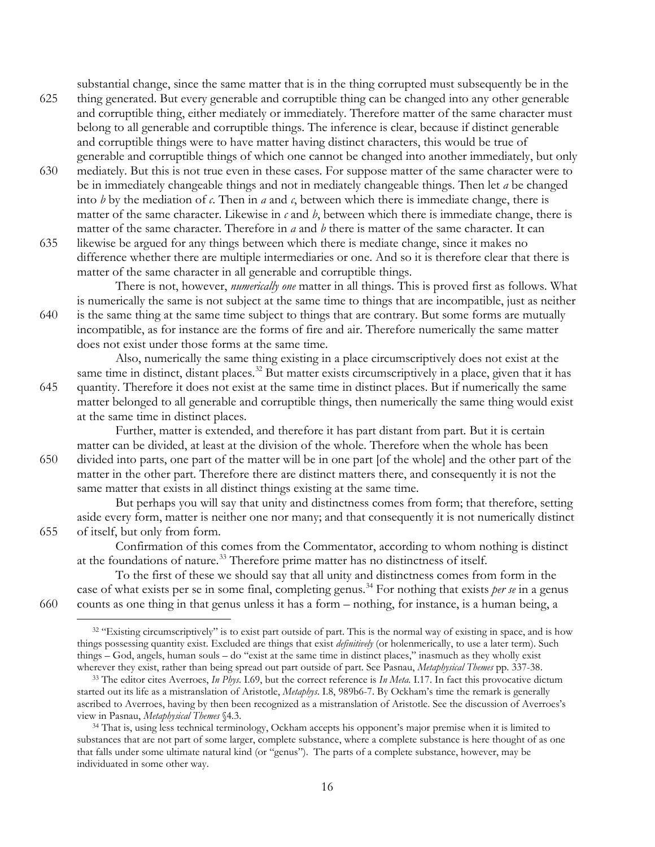substantial change, since the same matter that is in the thing corrupted must subsequently be in the

- 625 thing generated. But every generable and corruptible thing can be changed into any other generable and corruptible thing, either mediately or immediately. Therefore matter of the same character must belong to all generable and corruptible things. The inference is clear, because if distinct generable and corruptible things were to have matter having distinct characters, this would be true of generable and corruptible things of which one cannot be changed into another immediately, but only
- 630 mediately. But this is not true even in these cases. For suppose matter of the same character were to be in immediately changeable things and not in mediately changeable things. Then let *a* be changed into *b* by the mediation of *c*. Then in *a* and *c*, between which there is immediate change, there is matter of the same character. Likewise in  $\epsilon$  and  $\ell$ , between which there is immediate change, there is matter of the same character. Therefore in *a* and *b* there is matter of the same character. It can
- 635 likewise be argued for any things between which there is mediate change, since it makes no difference whether there are multiple intermediaries or one. And so it is therefore clear that there is matter of the same character in all generable and corruptible things.

There is not, however, *numerically one* matter in all things. This is proved first as follows. What is numerically the same is not subject at the same time to things that are incompatible, just as neither 640 is the same thing at the same time subject to things that are contrary. But some forms are mutually incompatible, as for instance are the forms of fire and air. Therefore numerically the same matter does not exist under those forms at the same time.

Also, numerically the same thing existing in a place circumscriptively does not exist at the same time in distinct, distant places.<sup>[32](#page-15-0)</sup> But matter exists circumscriptively in a place, given that it has 645 quantity. Therefore it does not exist at the same time in distinct places. But if numerically the same matter belonged to all generable and corruptible things, then numerically the same thing would exist at the same time in distinct places.

Further, matter is extended, and therefore it has part distant from part. But it is certain matter can be divided, at least at the division of the whole. Therefore when the whole has been 650 divided into parts, one part of the matter will be in one part [of the whole] and the other part of the matter in the other part. Therefore there are distinct matters there, and consequently it is not the same matter that exists in all distinct things existing at the same time.

But perhaps you will say that unity and distinctness comes from form; that therefore, setting aside every form, matter is neither one nor many; and that consequently it is not numerically distinct 655 of itself, but only from form.

Confirmation of this comes from the Commentator, according to whom nothing is distinct at the foundations of nature.<sup>[33](#page-15-1)</sup> Therefore prime matter has no distinctness of itself.

To the first of these we should say that all unity and distinctness comes from form in the case of what exists per se in some final, completing genus.<sup>[34](#page-15-2)</sup> For nothing that exists *per se* in a genus 660 counts as one thing in that genus unless it has a form – nothing, for instance, is a human being, a

<span id="page-15-0"></span>

<sup>&</sup>lt;sup>32</sup> "Existing circumscriptively" is to exist part outside of part. This is the normal way of existing in space, and is how things possessing quantity exist. Excluded are things that exist *definitively* (or holenmerically, to use a later term). Such things – God, angels, human souls – do "exist at the same time in distinct places," inasmuch as they wholly exist wherever they exist, rather than being spread out part outside of part. See Pasnau, *Metaphysical Themes* pp. 337-38.  $\overline{a}$ 

<span id="page-15-1"></span><sup>33</sup> The editor cites Averroes, *In Phys*. I.69, but the correct reference is *In Meta.* I.17. In fact this provocative dictum started out its life as a mistranslation of Aristotle, *Metaphys*. I.8, 989b6-7. By Ockham's time the remark is generally ascribed to Averroes, having by then been recognized as a mistranslation of Aristotle. See the discussion of Averroes's view in Pasnau, *Metaphysical Themes* §4.3.

<span id="page-15-2"></span><sup>&</sup>lt;sup>34</sup> That is, using less technical terminology, Ockham accepts his opponent's major premise when it is limited to substances that are not part of some larger, complete substance, where a complete substance is here thought of as one that falls under some ultimate natural kind (or "genus"). The parts of a complete substance, however, may be individuated in some other way.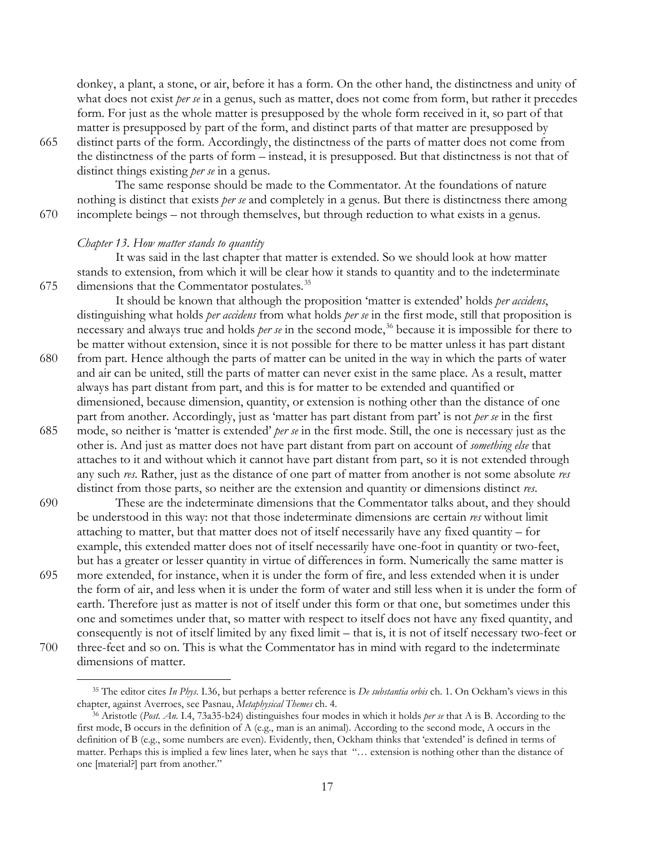donkey, a plant, a stone, or air, before it has a form. On the other hand, the distinctness and unity of what does not exist *per se* in a genus, such as matter, does not come from form, but rather it precedes form. For just as the whole matter is presupposed by the whole form received in it, so part of that matter is presupposed by part of the form, and distinct parts of that matter are presupposed by

 $\overline{a}$ 

665 distinct parts of the form. Accordingly, the distinctness of the parts of matter does not come from the distinctness of the parts of form – instead, it is presupposed. But that distinctness is not that of distinct things existing *per se* in a genus.

The same response should be made to the Commentator. At the foundations of nature nothing is distinct that exists *per se* and completely in a genus. But there is distinctness there among 670 incomplete beings – not through themselves, but through reduction to what exists in a genus.

### *Chapter 13. How matter stands to quantity*

It was said in the last chapter that matter is extended. So we should look at how matter stands to extension, from which it will be clear how it stands to quantity and to the indeterminate  $675$  dimensions that the Commentator postulates.<sup>[35](#page-16-0)</sup>

It should be known that although the proposition 'matter is extended' holds *per accidens*, distinguishing what holds *per accidens* from what holds *per se* in the first mode, still that proposition is necessary and always true and holds *per se* in the second mode,<sup>[36](#page-16-1)</sup> because it is impossible for there to be matter without extension, since it is not possible for there to be matter unless it has part distant

- 680 from part. Hence although the parts of matter can be united in the way in which the parts of water and air can be united, still the parts of matter can never exist in the same place. As a result, matter always has part distant from part, and this is for matter to be extended and quantified or dimensioned, because dimension, quantity, or extension is nothing other than the distance of one part from another. Accordingly, just as 'matter has part distant from part' is not *per se* in the first
- 685 mode, so neither is 'matter is extended' *per se* in the first mode. Still, the one is necessary just as the other is. And just as matter does not have part distant from part on account of *something else* that attaches to it and without which it cannot have part distant from part, so it is not extended through any such *res*. Rather, just as the distance of one part of matter from another is not some absolute *res*  distinct from those parts, so neither are the extension and quantity or dimensions distinct *res*.
- 690 These are the indeterminate dimensions that the Commentator talks about, and they should be understood in this way: not that those indeterminate dimensions are certain *res* without limit attaching to matter, but that matter does not of itself necessarily have any fixed quantity – for example, this extended matter does not of itself necessarily have one-foot in quantity or two-feet, but has a greater or lesser quantity in virtue of differences in form. Numerically the same matter is
- 695 more extended, for instance, when it is under the form of fire, and less extended when it is under the form of air, and less when it is under the form of water and still less when it is under the form of earth. Therefore just as matter is not of itself under this form or that one, but sometimes under this one and sometimes under that, so matter with respect to itself does not have any fixed quantity, and consequently is not of itself limited by any fixed limit – that is, it is not of itself necessary two-feet or 700 three-feet and so on. This is what the Commentator has in mind with regard to the indeterminate dimensions of matter.

<span id="page-16-0"></span><sup>35</sup> The editor cites *In Phys*. I.36, but perhaps a better reference is *De substantia orbis* ch. 1. On Ockham's views in this chapter, against Averroes, see Pasnau, *Metaphysical Themes* ch. 4.

<span id="page-16-1"></span><sup>36</sup> Aristotle (*Post. An.* I.4, 73a35-b24) distinguishes four modes in which it holds *per se* that A is B. According to the first mode, B occurs in the definition of A (e.g., man is an animal). According to the second mode, A occurs in the definition of B (e.g., some numbers are even). Evidently, then, Ockham thinks that 'extended' is defined in terms of matter. Perhaps this is implied a few lines later, when he says that "… extension is nothing other than the distance of one [material?] part from another."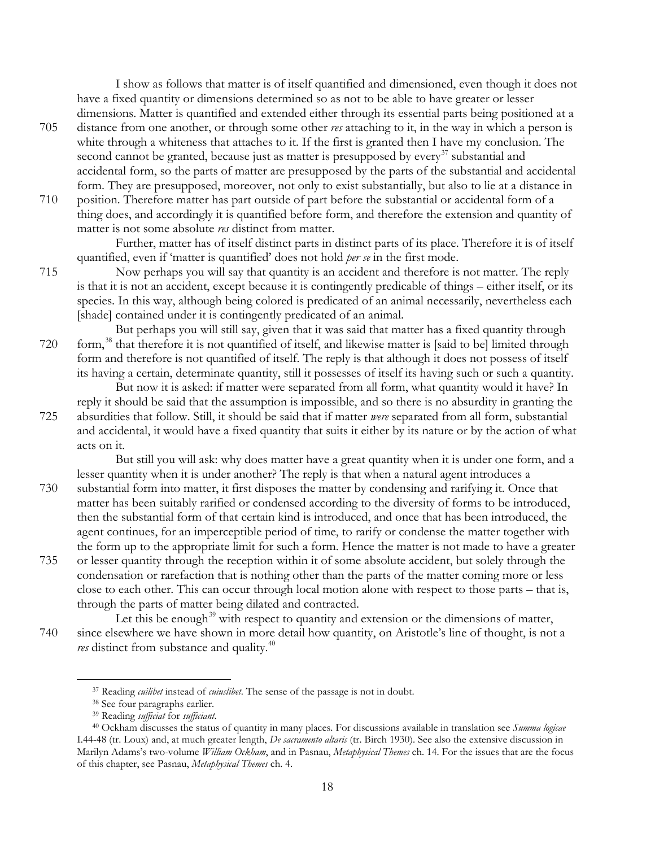I show as follows that matter is of itself quantified and dimensioned, even though it does not have a fixed quantity or dimensions determined so as not to be able to have greater or lesser dimensions. Matter is quantified and extended either through its essential parts being positioned at a

- 705 distance from one another, or through some other *res* attaching to it, in the way in which a person is white through a whiteness that attaches to it. If the first is granted then I have my conclusion. The second cannot be granted, because just as matter is presupposed by every<sup>[37](#page-17-0)</sup> substantial and accidental form, so the parts of matter are presupposed by the parts of the substantial and accidental form. They are presupposed, moreover, not only to exist substantially, but also to lie at a distance in
- 710 position. Therefore matter has part outside of part before the substantial or accidental form of a thing does, and accordingly it is quantified before form, and therefore the extension and quantity of matter is not some absolute *res* distinct from matter.

Further, matter has of itself distinct parts in distinct parts of its place. Therefore it is of itself quantified, even if 'matter is quantified' does not hold *per se* in the first mode.

715 Now perhaps you will say that quantity is an accident and therefore is not matter. The reply is that it is not an accident, except because it is contingently predicable of things – either itself, or its species. In this way, although being colored is predicated of an animal necessarily, nevertheless each [shade] contained under it is contingently predicated of an animal.

But perhaps you will still say, given that it was said that matter has a fixed quantity through 720 form,<sup>[38](#page-17-1)</sup> that therefore it is not quantified of itself, and likewise matter is [said to be] limited through form and therefore is not quantified of itself. The reply is that although it does not possess of itself its having a certain, determinate quantity, still it possesses of itself its having such or such a quantity.

But now it is asked: if matter were separated from all form, what quantity would it have? In reply it should be said that the assumption is impossible, and so there is no absurdity in granting the 725 absurdities that follow. Still, it should be said that if matter *were* separated from all form, substantial and accidental, it would have a fixed quantity that suits it either by its nature or by the action of what acts on it.

But still you will ask: why does matter have a great quantity when it is under one form, and a lesser quantity when it is under another? The reply is that when a natural agent introduces a

- 730 substantial form into matter, it first disposes the matter by condensing and rarifying it. Once that matter has been suitably rarified or condensed according to the diversity of forms to be introduced, then the substantial form of that certain kind is introduced, and once that has been introduced, the agent continues, for an imperceptible period of time, to rarify or condense the matter together with the form up to the appropriate limit for such a form. Hence the matter is not made to have a greater
- 735 or lesser quantity through the reception within it of some absolute accident, but solely through the condensation or rarefaction that is nothing other than the parts of the matter coming more or less close to each other. This can occur through local motion alone with respect to those parts – that is, through the parts of matter being dilated and contracted.

Let this be enough<sup>[39](#page-17-2)</sup> with respect to quantity and extension or the dimensions of matter, 740 since elsewhere we have shown in more detail how quantity, on Aristotle's line of thought, is not a *res* distinct from substance and quality.<sup>[40](#page-17-3)</sup>

<sup>37</sup> Reading *cuilibet* instead of *cuiuslibet*. The sense of the passage is not in doubt.

<sup>38</sup> See four paragraphs earlier.

<sup>39</sup> Reading *sufficiat* for *sufficiant*.

<span id="page-17-3"></span><span id="page-17-2"></span><span id="page-17-1"></span><span id="page-17-0"></span><sup>40</sup> Ockham discusses the status of quantity in many places. For discussions available in translation see *Summa logicae* I.44-48 (tr. Loux) and, at much greater length, *De sacramento altaris* (tr. Birch 1930). See also the extensive discussion in Marilyn Adams's two-volume *William Ockham*, and in Pasnau, *Metaphysical Themes* ch. 14. For the issues that are the focus of this chapter, see Pasnau, *Metaphysical Themes* ch. 4.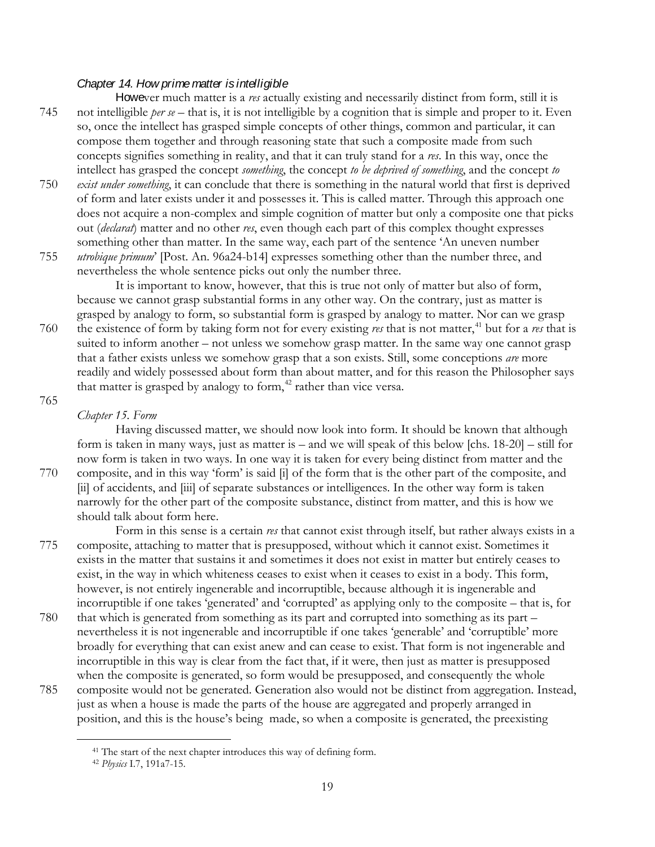## *Chapter 14. How prime matter is intelligible*

However much matter is a *res* actually existing and necessarily distinct from form, still it is 745 not intelligible *per se* – that is, it is not intelligible by a cognition that is simple and proper to it. Even so, once the intellect has grasped simple concepts of other things, common and particular, it can compose them together and through reasoning state that such a composite made from such concepts signifies something in reality, and that it can truly stand for a *res*. In this way, once the intellect has grasped the concept *something*, the concept *to be deprived of something*, and the concept *to* 

- 750 *exist under something*, it can conclude that there is something in the natural world that first is deprived of form and later exists under it and possesses it. This is called matter. Through this approach one does not acquire a non-complex and simple cognition of matter but only a composite one that picks out (*declarat*) matter and no other *res*, even though each part of this complex thought expresses something other than matter. In the same way, each part of the sentence 'An uneven number 755 *utrobique primum*' [Post. An. 96a24-b14] expresses something other than the number three, and
- nevertheless the whole sentence picks out only the number three.

It is important to know, however, that this is true not only of matter but also of form, because we cannot grasp substantial forms in any other way. On the contrary, just as matter is grasped by analogy to form, so substantial form is grasped by analogy to matter. Nor can we grasp

760 the existence of form by taking form not for every existing *res* that is not matter,<sup>[41](#page-18-0)</sup> but for a *res* that is suited to inform another – not unless we somehow grasp matter. In the same way one cannot grasp that a father exists unless we somehow grasp that a son exists. Still, some conceptions *are* more readily and widely possessed about form than about matter, and for this reason the Philosopher says that matter is grasped by analogy to form, $42$  rather than vice versa.

## 765

## *Chapter 15. Form*

Having discussed matter, we should now look into form. It should be known that although form is taken in many ways, just as matter is – and we will speak of this below [chs. 18-20] – still for now form is taken in two ways. In one way it is taken for every being distinct from matter and the 770 composite, and in this way 'form' is said [i] of the form that is the other part of the composite, and [ii] of accidents, and [iii] of separate substances or intelligences. In the other way form is taken narrowly for the other part of the composite substance, distinct from matter, and this is how we should talk about form here.

Form in this sense is a certain *res* that cannot exist through itself, but rather always exists in a 775 composite, attaching to matter that is presupposed, without which it cannot exist. Sometimes it exists in the matter that sustains it and sometimes it does not exist in matter but entirely ceases to exist, in the way in which whiteness ceases to exist when it ceases to exist in a body. This form, however, is not entirely ingenerable and incorruptible, because although it is ingenerable and incorruptible if one takes 'generated' and 'corrupted' as applying only to the composite – that is, for

- 780 that which is generated from something as its part and corrupted into something as its part nevertheless it is not ingenerable and incorruptible if one takes 'generable' and 'corruptible' more broadly for everything that can exist anew and can cease to exist. That form is not ingenerable and incorruptible in this way is clear from the fact that, if it were, then just as matter is presupposed when the composite is generated, so form would be presupposed, and consequently the whole
- <span id="page-18-1"></span><span id="page-18-0"></span>785 composite would not be generated. Generation also would not be distinct from aggregation. Instead, just as when a house is made the parts of the house are aggregated and properly arranged in position, and this is the house's being made, so when a composite is generated, the preexisting

<sup>&</sup>lt;sup>41</sup> The start of the next chapter introduces this way of defining form.

<sup>42</sup> *Physics* I.7, 191a7-15.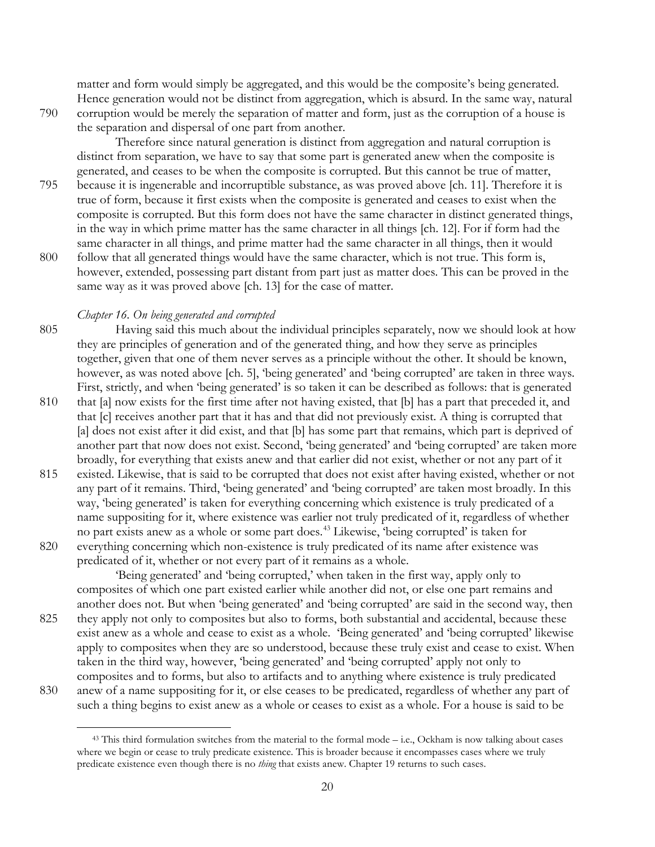matter and form would simply be aggregated, and this would be the composite's being generated. Hence generation would not be distinct from aggregation, which is absurd. In the same way, natural 790 corruption would be merely the separation of matter and form, just as the corruption of a house is the separation and dispersal of one part from another.

Therefore since natural generation is distinct from aggregation and natural corruption is distinct from separation, we have to say that some part is generated anew when the composite is generated, and ceases to be when the composite is corrupted. But this cannot be true of matter,

- 795 because it is ingenerable and incorruptible substance, as was proved above [ch. 11]. Therefore it is true of form, because it first exists when the composite is generated and ceases to exist when the composite is corrupted. But this form does not have the same character in distinct generated things, in the way in which prime matter has the same character in all things [ch. 12]. For if form had the same character in all things, and prime matter had the same character in all things, then it would 800 follow that all generated things would have the same character, which is not true. This form is,
- however, extended, possessing part distant from part just as matter does. This can be proved in the same way as it was proved above [ch. 13] for the case of matter.

## *Chapter 16. On being generated and corrupted*

 $\overline{a}$ 

805 Having said this much about the individual principles separately, now we should look at how they are principles of generation and of the generated thing, and how they serve as principles together, given that one of them never serves as a principle without the other. It should be known, however, as was noted above [ch. 5], 'being generated' and 'being corrupted' are taken in three ways. First, strictly, and when 'being generated' is so taken it can be described as follows: that is generated

- 810 that [a] now exists for the first time after not having existed, that [b] has a part that preceded it, and that [c] receives another part that it has and that did not previously exist. A thing is corrupted that [a] does not exist after it did exist, and that [b] has some part that remains, which part is deprived of another part that now does not exist. Second, 'being generated' and 'being corrupted' are taken more broadly, for everything that exists anew and that earlier did not exist, whether or not any part of it
- 815 existed. Likewise, that is said to be corrupted that does not exist after having existed, whether or not any part of it remains. Third, 'being generated' and 'being corrupted' are taken most broadly. In this way, 'being generated' is taken for everything concerning which existence is truly predicated of a name suppositing for it, where existence was earlier not truly predicated of it, regardless of whether no part exists anew as a whole or some part does.[43](#page-19-0) Likewise, 'being corrupted' is taken for 820 everything concerning which non-existence is truly predicated of its name after existence was
	- predicated of it, whether or not every part of it remains as a whole.

'Being generated' and 'being corrupted,' when taken in the first way, apply only to composites of which one part existed earlier while another did not, or else one part remains and another does not. But when 'being generated' and 'being corrupted' are said in the second way, then

- 825 they apply not only to composites but also to forms, both substantial and accidental, because these exist anew as a whole and cease to exist as a whole. 'Being generated' and 'being corrupted' likewise apply to composites when they are so understood, because these truly exist and cease to exist. When taken in the third way, however, 'being generated' and 'being corrupted' apply not only to composites and to forms, but also to artifacts and to anything where existence is truly predicated
- <span id="page-19-0"></span>830 anew of a name suppositing for it, or else ceases to be predicated, regardless of whether any part of such a thing begins to exist anew as a whole or ceases to exist as a whole. For a house is said to be

<sup>&</sup>lt;sup>43</sup> This third formulation switches from the material to the formal mode – i.e., Ockham is now talking about cases where we begin or cease to truly predicate existence. This is broader because it encompasses cases where we truly predicate existence even though there is no *thing* that exists anew. Chapter 19 returns to such cases.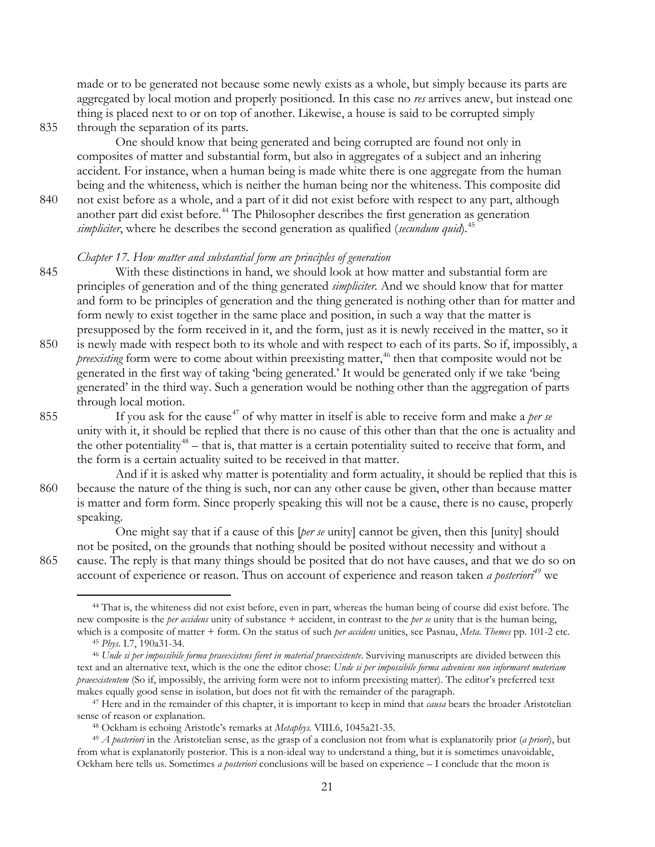made or to be generated not because some newly exists as a whole, but simply because its parts are aggregated by local motion and properly positioned. In this case no *res* arrives anew, but instead one thing is placed next to or on top of another. Likewise, a house is said to be corrupted simply

835 through the separation of its parts.

 $\overline{a}$ 

One should know that being generated and being corrupted are found not only in composites of matter and substantial form, but also in aggregates of a subject and an inhering accident. For instance, when a human being is made white there is one aggregate from the human being and the whiteness, which is neither the human being nor the whiteness. This composite did

840 not exist before as a whole, and a part of it did not exist before with respect to any part, although another part did exist before.<sup>[44](#page-20-0)</sup> The Philosopher describes the first generation as generation *simpliciter*, where he describes the second generation as qualified (*secundum quid*). [45](#page-20-1)

### *Chapter 17. How matter and substantial form are principles of generation*

- 845 With these distinctions in hand, we should look at how matter and substantial form are principles of generation and of the thing generated *simpliciter.* And we should know that for matter and form to be principles of generation and the thing generated is nothing other than for matter and form newly to exist together in the same place and position, in such a way that the matter is presupposed by the form received in it, and the form, just as it is newly received in the matter, so it
- 850 is newly made with respect both to its whole and with respect to each of its parts. So if, impossibly, a *preexisting* form were to come about within preexisting matter,<sup>[46](#page-20-2)</sup> then that composite would not be generated in the first way of taking 'being generated.' It would be generated only if we take 'being generated' in the third way. Such a generation would be nothing other than the aggregation of parts through local motion.
- 855 If you ask for the cause<sup>[47](#page-20-3)</sup> of why matter in itself is able to receive form and make a *per se* unity with it, it should be replied that there is no cause of this other than that the one is actuality and the other potentiality<sup>[48](#page-20-4)</sup> – that is, that matter is a certain potentiality suited to receive that form, and the form is a certain actuality suited to be received in that matter.
- And if it is asked why matter is potentiality and form actuality, it should be replied that this is 860 because the nature of the thing is such, nor can any other cause be given, other than because matter is matter and form form. Since properly speaking this will not be a cause, there is no cause, properly speaking.

One might say that if a cause of this [*per se* unity] cannot be given, then this [unity] should not be posited, on the grounds that nothing should be posited without necessity and without a 865 cause. The reply is that many things should be posited that do not have causes, and that we do so on account of experience or reason. Thus on account of experience and reason taken *a posteriori[49](#page-20-5)* we

<span id="page-20-0"></span><sup>44</sup> That is, the whiteness did not exist before, even in part, whereas the human being of course did exist before. The new composite is the *per accidens* unity of substance + accident, in contrast to the *per se* unity that is the human being, which is a composite of matter + form. On the status of such *per accidens* unities, see Pasnau, *Meta. Themes* pp. 101-2 etc. <sup>45</sup> *Phys*. I.7, 190a31-34.

<span id="page-20-2"></span><span id="page-20-1"></span><sup>46</sup> *Unde si per impossibile forma praeexistens fieret in material praeexistente*. Surviving manuscripts are divided between this text and an alternative text, which is the one the editor chose: *Unde si per impossibile forma adveniens non informaret materiam praeexistentem* (So if, impossibly, the arriving form were not to inform preexisting matter). The editor's preferred text makes equally good sense in isolation, but does not fit with the remainder of the paragraph.

<span id="page-20-3"></span><sup>47</sup> Here and in the remainder of this chapter, it is important to keep in mind that *causa* bears the broader Aristotelian sense of reason or explanation.

<sup>48</sup> Ockham is echoing Aristotle's remarks at *Metaphys.* VIII.6, 1045a21-35.

<span id="page-20-5"></span><span id="page-20-4"></span><sup>49</sup> *A posteriori* in the Aristotelian sense, as the grasp of a conclusion not from what is explanatorily prior (*a priori*), but from what is explanatorily posterior. This is a non-ideal way to understand a thing, but it is sometimes unavoidable, Ockham here tells us. Sometimes *a posteriori* conclusions will be based on experience – I conclude that the moon is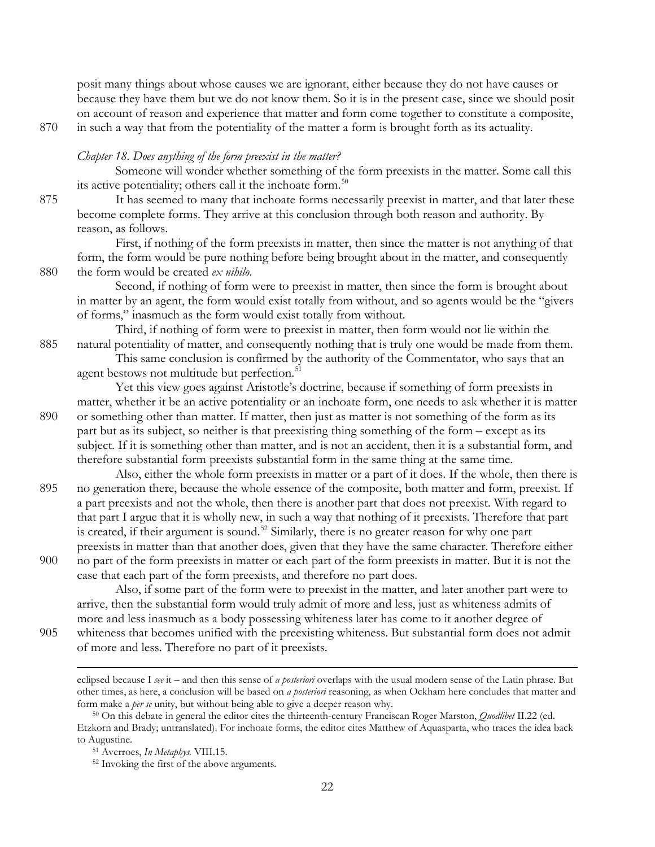posit many things about whose causes we are ignorant, either because they do not have causes or because they have them but we do not know them. So it is in the present case, since we should posit on account of reason and experience that matter and form come together to constitute a composite, 870 in such a way that from the potentiality of the matter a form is brought forth as its actuality.

#### *Chapter 18. Does anything of the form preexist in the matter?*

Someone will wonder whether something of the form preexists in the matter. Some call this its active potentiality; others call it the inchoate form.<sup>[50](#page-21-0)</sup>

875 It has seemed to many that inchoate forms necessarily preexist in matter, and that later these become complete forms. They arrive at this conclusion through both reason and authority. By reason, as follows.

First, if nothing of the form preexists in matter, then since the matter is not anything of that form, the form would be pure nothing before being brought about in the matter, and consequently 880 the form would be created *ex nihilo*.

Second, if nothing of form were to preexist in matter, then since the form is brought about in matter by an agent, the form would exist totally from without, and so agents would be the "givers of forms," inasmuch as the form would exist totally from without.

Third, if nothing of form were to preexist in matter, then form would not lie within the 885 natural potentiality of matter, and consequently nothing that is truly one would be made from them.

This same conclusion is confirmed by the authority of the Commentator, who says that an agent bestows not multitude but perfection.<sup>[51](#page-21-1)</sup>

Yet this view goes against Aristotle's doctrine, because if something of form preexists in matter, whether it be an active potentiality or an inchoate form, one needs to ask whether it is matter 890 or something other than matter. If matter, then just as matter is not something of the form as its part but as its subject, so neither is that preexisting thing something of the form – except as its subject. If it is something other than matter, and is not an accident, then it is a substantial form, and therefore substantial form preexists substantial form in the same thing at the same time.

- Also, either the whole form preexists in matter or a part of it does. If the whole, then there is 895 no generation there, because the whole essence of the composite, both matter and form, preexist. If a part preexists and not the whole, then there is another part that does not preexist. With regard to that part I argue that it is wholly new, in such a way that nothing of it preexists. Therefore that part is created, if their argument is sound.<sup>[52](#page-21-2)</sup> Similarly, there is no greater reason for why one part preexists in matter than that another does, given that they have the same character. Therefore either
- 900 no part of the form preexists in matter or each part of the form preexists in matter. But it is not the case that each part of the form preexists, and therefore no part does.

Also, if some part of the form were to preexist in the matter, and later another part were to arrive, then the substantial form would truly admit of more and less, just as whiteness admits of more and less inasmuch as a body possessing whiteness later has come to it another degree of 905 whiteness that becomes unified with the preexisting whiteness. But substantial form does not admit

of more and less. Therefore no part of it preexists.

eclipsed because I *see* it – and then this sense of *a posteriori* overlaps with the usual modern sense of the Latin phrase. But other times, as here, a conclusion will be based on *a posteriori* reasoning, as when Ockham here concludes that matter and form make a *per se* unity, but without being able to give a deeper reason why.

<span id="page-21-2"></span><span id="page-21-1"></span><span id="page-21-0"></span><sup>50</sup> On this debate in general the editor cites the thirteenth-century Franciscan Roger Marston, *Quodlibet* II.22 (ed. Etzkorn and Brady; untranslated). For inchoate forms, the editor cites Matthew of Aquasparta, who traces the idea back to Augustine.

<sup>51</sup> Averroes, *In Metaphys.* VIII.15.

<sup>52</sup> Invoking the first of the above arguments.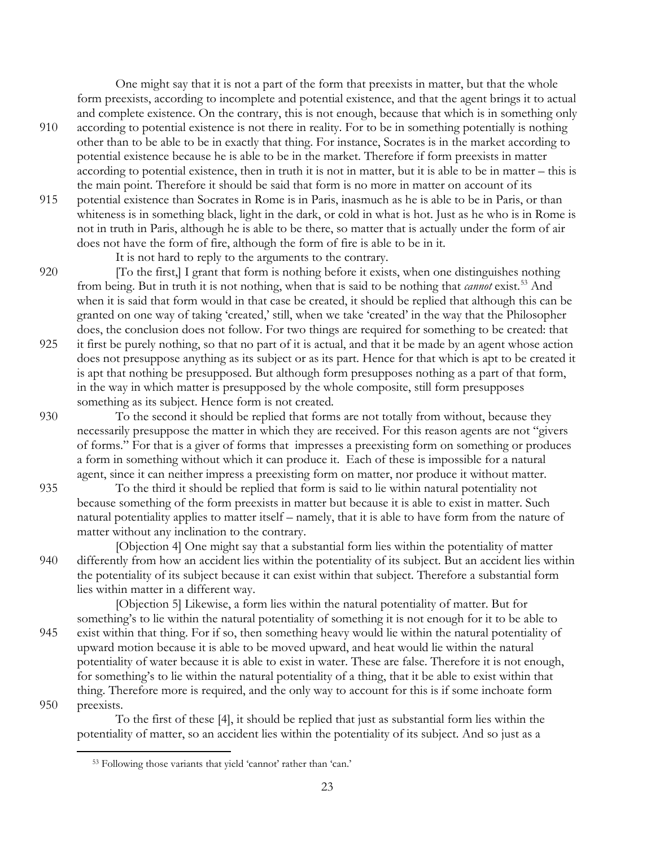One might say that it is not a part of the form that preexists in matter, but that the whole form preexists, according to incomplete and potential existence, and that the agent brings it to actual and complete existence. On the contrary, this is not enough, because that which is in something only

- 910 according to potential existence is not there in reality. For to be in something potentially is nothing other than to be able to be in exactly that thing. For instance, Socrates is in the market according to potential existence because he is able to be in the market. Therefore if form preexists in matter according to potential existence, then in truth it is not in matter, but it is able to be in matter – this is the main point. Therefore it should be said that form is no more in matter on account of its
- 915 potential existence than Socrates in Rome is in Paris, inasmuch as he is able to be in Paris, or than whiteness is in something black, light in the dark, or cold in what is hot. Just as he who is in Rome is not in truth in Paris, although he is able to be there, so matter that is actually under the form of air does not have the form of fire, although the form of fire is able to be in it.

It is not hard to reply to the arguments to the contrary.

- 920 [To the first,] I grant that form is nothing before it exists, when one distinguishes nothing from being. But in truth it is not nothing, when that is said to be nothing that *cannot* exist.<sup>[53](#page-22-0)</sup> And when it is said that form would in that case be created, it should be replied that although this can be granted on one way of taking 'created,' still, when we take 'created' in the way that the Philosopher does, the conclusion does not follow. For two things are required for something to be created: that 925 it first be purely nothing, so that no part of it is actual, and that it be made by an agent whose action
- does not presuppose anything as its subject or as its part. Hence for that which is apt to be created it is apt that nothing be presupposed. But although form presupposes nothing as a part of that form, in the way in which matter is presupposed by the whole composite, still form presupposes something as its subject. Hence form is not created.
- 930 To the second it should be replied that forms are not totally from without, because they necessarily presuppose the matter in which they are received. For this reason agents are not "givers of forms." For that is a giver of forms that impresses a preexisting form on something or produces a form in something without which it can produce it. Each of these is impossible for a natural agent, since it can neither impress a preexisting form on matter, nor produce it without matter.
- 935 To the third it should be replied that form is said to lie within natural potentiality not because something of the form preexists in matter but because it is able to exist in matter. Such natural potentiality applies to matter itself – namely, that it is able to have form from the nature of matter without any inclination to the contrary.
- [Objection 4] One might say that a substantial form lies within the potentiality of matter 940 differently from how an accident lies within the potentiality of its subject. But an accident lies within the potentiality of its subject because it can exist within that subject. Therefore a substantial form lies within matter in a different way.
- [Objection 5] Likewise, a form lies within the natural potentiality of matter. But for something's to lie within the natural potentiality of something it is not enough for it to be able to 945 exist within that thing. For if so, then something heavy would lie within the natural potentiality of upward motion because it is able to be moved upward, and heat would lie within the natural potentiality of water because it is able to exist in water. These are false. Therefore it is not enough, for something's to lie within the natural potentiality of a thing, that it be able to exist within that thing. Therefore more is required, and the only way to account for this is if some inchoate form 950 preexists.

<span id="page-22-0"></span>To the first of these [4], it should be replied that just as substantial form lies within the potentiality of matter, so an accident lies within the potentiality of its subject. And so just as a

<sup>53</sup> Following those variants that yield 'cannot' rather than 'can.'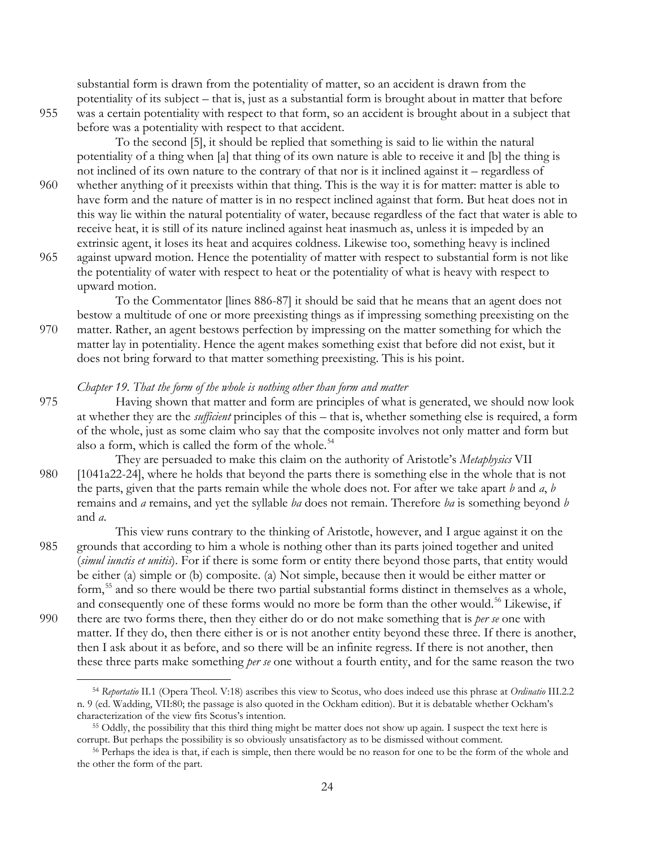substantial form is drawn from the potentiality of matter, so an accident is drawn from the potentiality of its subject – that is, just as a substantial form is brought about in matter that before 955 was a certain potentiality with respect to that form, so an accident is brought about in a subject that before was a potentiality with respect to that accident.

 $\overline{a}$ 

To the second [5], it should be replied that something is said to lie within the natural potentiality of a thing when [a] that thing of its own nature is able to receive it and [b] the thing is not inclined of its own nature to the contrary of that nor is it inclined against it – regardless of

- 960 whether anything of it preexists within that thing. This is the way it is for matter: matter is able to have form and the nature of matter is in no respect inclined against that form. But heat does not in this way lie within the natural potentiality of water, because regardless of the fact that water is able to receive heat, it is still of its nature inclined against heat inasmuch as, unless it is impeded by an extrinsic agent, it loses its heat and acquires coldness. Likewise too, something heavy is inclined
- 965 against upward motion. Hence the potentiality of matter with respect to substantial form is not like the potentiality of water with respect to heat or the potentiality of what is heavy with respect to upward motion.

To the Commentator [lines 886-87] it should be said that he means that an agent does not bestow a multitude of one or more preexisting things as if impressing something preexisting on the 970 matter. Rather, an agent bestows perfection by impressing on the matter something for which the matter lay in potentiality. Hence the agent makes something exist that before did not exist, but it does not bring forward to that matter something preexisting. This is his point.

## *Chapter 19. That the form of the whole is nothing other than form and matter*

- 975 Having shown that matter and form are principles of what is generated, we should now look at whether they are the *sufficient* principles of this – that is, whether something else is required, a form of the whole, just as some claim who say that the composite involves not only matter and form but also a form, which is called the form of the whole. $54$
- They are persuaded to make this claim on the authority of Aristotle's *Metaphysics* VII 980 [1041a22-24], where he holds that beyond the parts there is something else in the whole that is not the parts, given that the parts remain while the whole does not. For after we take apart *b* and *a*, *b*  remains and *a* remains, and yet the syllable *ba* does not remain. Therefore *ba* is something beyond *b* and *a*.
- This view runs contrary to the thinking of Aristotle, however, and I argue against it on the 985 grounds that according to him a whole is nothing other than its parts joined together and united (*simul iunctis et unitis*). For if there is some form or entity there beyond those parts, that entity would be either (a) simple or (b) composite. (a) Not simple, because then it would be either matter or form,<sup>[55](#page-23-1)</sup> and so there would be there two partial substantial forms distinct in themselves as a whole, and consequently one of these forms would no more be form than the other would.<sup>[56](#page-23-2)</sup> Likewise, if
- 990 there are two forms there, then they either do or do not make something that is *per se* one with matter. If they do, then there either is or is not another entity beyond these three. If there is another, then I ask about it as before, and so there will be an infinite regress. If there is not another, then these three parts make something *per se* one without a fourth entity, and for the same reason the two

<span id="page-23-0"></span><sup>54</sup> *Reportatio* II.1 (Opera Theol. V:18) ascribes this view to Scotus, who does indeed use this phrase at *Ordinatio* III.2.2 n. 9 (ed. Wadding, VII:80; the passage is also quoted in the Ockham edition). But it is debatable whether Ockham's characterization of the view fits Scotus's intention. 55 Oddly, the possibility that this third thing might be matter does not show up again. I suspect the text here is

<span id="page-23-1"></span>corrupt. But perhaps the possibility is so obviously unsatisfactory as to be dismissed without comment.

<span id="page-23-2"></span><sup>56</sup> Perhaps the idea is that, if each is simple, then there would be no reason for one to be the form of the whole and the other the form of the part.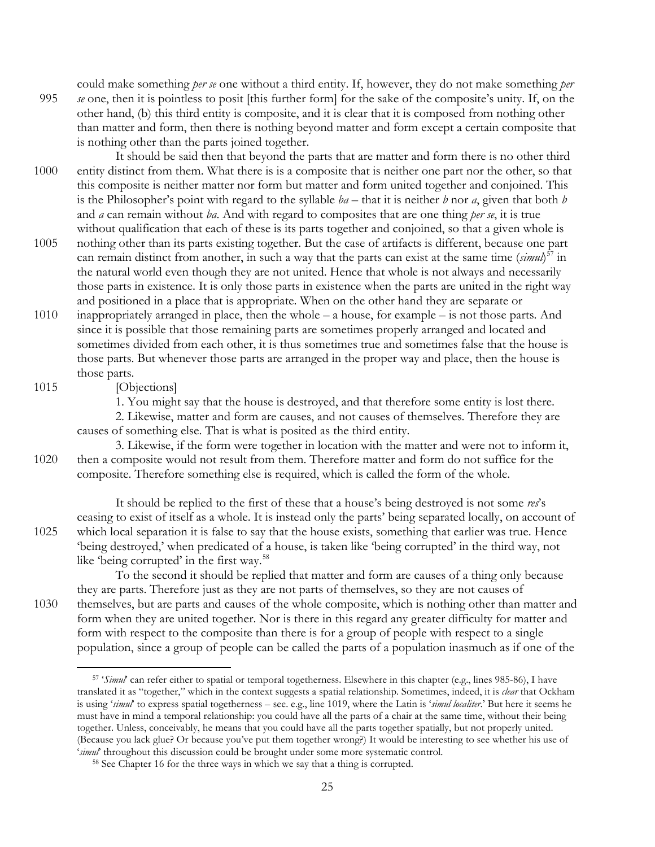could make something *per se* one without a third entity. If, however, they do not make something *per*  995 *se* one, then it is pointless to posit [this further form] for the sake of the composite's unity. If, on the other hand, (b) this third entity is composite, and it is clear that it is composed from nothing other than matter and form, then there is nothing beyond matter and form except a certain composite that is nothing other than the parts joined together.

It should be said then that beyond the parts that are matter and form there is no other third 1000 entity distinct from them. What there is is a composite that is neither one part nor the other, so that this composite is neither matter nor form but matter and form united together and conjoined. This is the Philosopher's point with regard to the syllable *ba* – that it is neither *b* nor *a*, given that both *b* and *a* can remain without *ba*. And with regard to composites that are one thing *per se*, it is true without qualification that each of these is its parts together and conjoined, so that a given whole is

- 1005 nothing other than its parts existing together. But the case of artifacts is different, because one part can remain distinct from another, in such a way that the parts can exist at the same time (*simul*) [57](#page-24-0) in the natural world even though they are not united. Hence that whole is not always and necessarily those parts in existence. It is only those parts in existence when the parts are united in the right way and positioned in a place that is appropriate. When on the other hand they are separate or
- 1010 inappropriately arranged in place, then the whole a house, for example is not those parts. And since it is possible that those remaining parts are sometimes properly arranged and located and sometimes divided from each other, it is thus sometimes true and sometimes false that the house is those parts. But whenever those parts are arranged in the proper way and place, then the house is those parts.

1015 [Objections]

1. You might say that the house is destroyed, and that therefore some entity is lost there.

2. Likewise, matter and form are causes, and not causes of themselves. Therefore they are causes of something else. That is what is posited as the third entity.

3. Likewise, if the form were together in location with the matter and were not to inform it, 1020 then a composite would not result from them. Therefore matter and form do not suffice for the composite. Therefore something else is required, which is called the form of the whole.

It should be replied to the first of these that a house's being destroyed is not some *res*'s ceasing to exist of itself as a whole. It is instead only the parts' being separated locally, on account of 1025 which local separation it is false to say that the house exists, something that earlier was true. Hence 'being destroyed,' when predicated of a house, is taken like 'being corrupted' in the third way, not like 'being corrupted' in the first way.<sup>[58](#page-24-1)</sup>

To the second it should be replied that matter and form are causes of a thing only because they are parts. Therefore just as they are not parts of themselves, so they are not causes of 1030 themselves, but are parts and causes of the whole composite, which is nothing other than matter and form when they are united together. Nor is there in this regard any greater difficulty for matter and form with respect to the composite than there is for a group of people with respect to a single population, since a group of people can be called the parts of a population inasmuch as if one of the

<span id="page-24-0"></span><sup>57</sup> '*Simul*' can refer either to spatial or temporal togetherness. Elsewhere in this chapter (e.g., lines 985-86), I have translated it as "together," which in the context suggests a spatial relationship. Sometimes, indeed, it is *clear* that Ockham is using '*simul*' to express spatial togetherness – see. e.g., line 1019, where the Latin is '*simul localiter*.' But here it seems he must have in mind a temporal relationship: you could have all the parts of a chair at the same time, without their being together. Unless, conceivably, he means that you could have all the parts together spatially, but not properly united. (Because you lack glue? Or because you've put them together wrong?) It would be interesting to see whether his use of '*simul*' throughout this discussion could be brought under some more systematic control.

<span id="page-24-1"></span><sup>58</sup> See Chapter 16 for the three ways in which we say that a thing is corrupted.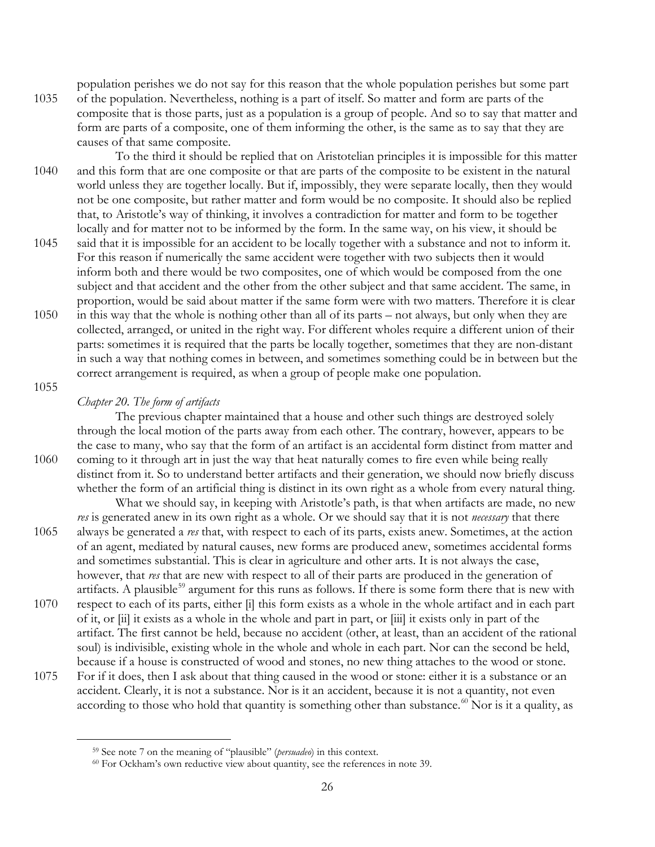population perishes we do not say for this reason that the whole population perishes but some part 1035 of the population. Nevertheless, nothing is a part of itself. So matter and form are parts of the composite that is those parts, just as a population is a group of people. And so to say that matter and form are parts of a composite, one of them informing the other, is the same as to say that they are causes of that same composite.

- To the third it should be replied that on Aristotelian principles it is impossible for this matter 1040 and this form that are one composite or that are parts of the composite to be existent in the natural world unless they are together locally. But if, impossibly, they were separate locally, then they would not be one composite, but rather matter and form would be no composite. It should also be replied that, to Aristotle's way of thinking, it involves a contradiction for matter and form to be together locally and for matter not to be informed by the form. In the same way, on his view, it should be
- 1045 said that it is impossible for an accident to be locally together with a substance and not to inform it. For this reason if numerically the same accident were together with two subjects then it would inform both and there would be two composites, one of which would be composed from the one subject and that accident and the other from the other subject and that same accident. The same, in proportion, would be said about matter if the same form were with two matters. Therefore it is clear
- 1050 in this way that the whole is nothing other than all of its parts not always, but only when they are collected, arranged, or united in the right way. For different wholes require a different union of their parts: sometimes it is required that the parts be locally together, sometimes that they are non-distant in such a way that nothing comes in between, and sometimes something could be in between but the correct arrangement is required, as when a group of people make one population.
- 1055

<span id="page-25-1"></span><span id="page-25-0"></span> $\overline{a}$ 

## *Chapter 20. The form of artifacts*

The previous chapter maintained that a house and other such things are destroyed solely through the local motion of the parts away from each other. The contrary, however, appears to be the case to many, who say that the form of an artifact is an accidental form distinct from matter and 1060 coming to it through art in just the way that heat naturally comes to fire even while being really distinct from it. So to understand better artifacts and their generation, we should now briefly discuss whether the form of an artificial thing is distinct in its own right as a whole from every natural thing.

What we should say, in keeping with Aristotle's path, is that when artifacts are made, no new *res* is generated anew in its own right as a whole. Or we should say that it is not *necessary* that there 1065 always be generated a *res* that, with respect to each of its parts, exists anew. Sometimes, at the action of an agent, mediated by natural causes, new forms are produced anew, sometimes accidental forms and sometimes substantial. This is clear in agriculture and other arts. It is not always the case, however, that *res* that are new with respect to all of their parts are produced in the generation of artifacts. A plausible<sup>[59](#page-25-0)</sup> argument for this runs as follows. If there is some form there that is new with 1070 respect to each of its parts, either [i] this form exists as a whole in the whole artifact and in each part

- of it, or [ii] it exists as a whole in the whole and part in part, or [iii] it exists only in part of the artifact. The first cannot be held, because no accident (other, at least, than an accident of the rational soul) is indivisible, existing whole in the whole and whole in each part. Nor can the second be held, because if a house is constructed of wood and stones, no new thing attaches to the wood or stone.
- 1075 For if it does, then I ask about that thing caused in the wood or stone: either it is a substance or an accident. Clearly, it is not a substance. Nor is it an accident, because it is not a quantity, not even according to those who hold that quantity is something other than substance.<sup>[60](#page-25-1)</sup> Nor is it a quality, as

<sup>59</sup> See note 7 on the meaning of "plausible" (*persuadeo*) in this context.

<sup>&</sup>lt;sup>60</sup> For Ockham's own reductive view about quantity, see the references in note 39.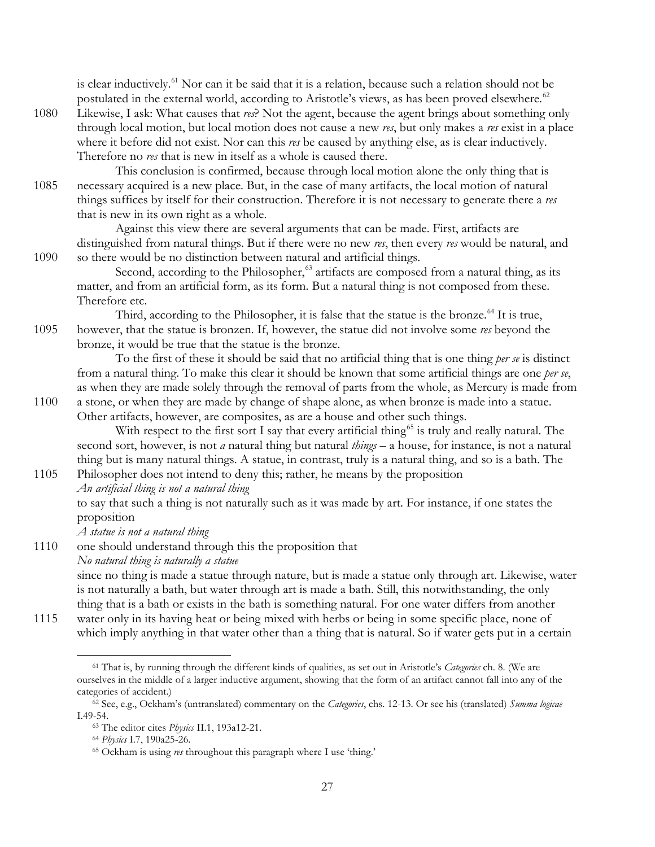is clear inductively.<sup>[61](#page-26-0)</sup> Nor can it be said that it is a relation, because such a relation should not be postulated in the external world, according to Aristotle's views, as has been proved elsewhere.<sup>[62](#page-26-1)</sup>

- 1080 Likewise, I ask: What causes that *res*? Not the agent, because the agent brings about something only through local motion, but local motion does not cause a new *res*, but only makes a *res* exist in a place where it before did not exist. Nor can this *res* be caused by anything else, as is clear inductively. Therefore no *res* that is new in itself as a whole is caused there.
- This conclusion is confirmed, because through local motion alone the only thing that is 1085 necessary acquired is a new place. But, in the case of many artifacts, the local motion of natural things suffices by itself for their construction. Therefore it is not necessary to generate there a *res* that is new in its own right as a whole.

Against this view there are several arguments that can be made. First, artifacts are distinguished from natural things. But if there were no new *res*, then every *res* would be natural, and 1090 so there would be no distinction between natural and artificial things.

Second, according to the Philosopher, $63$  artifacts are composed from a natural thing, as its matter, and from an artificial form, as its form. But a natural thing is not composed from these. Therefore etc.

Third, according to the Philosopher, it is false that the statue is the bronze.<sup> $64$ </sup> It is true, 1095 however, that the statue is bronzen. If, however, the statue did not involve some *res* beyond the bronze, it would be true that the statue is the bronze.

To the first of these it should be said that no artificial thing that is one thing *per se* is distinct from a natural thing. To make this clear it should be known that some artificial things are one *per se*, as when they are made solely through the removal of parts from the whole, as Mercury is made from

1100 a stone, or when they are made by change of shape alone, as when bronze is made into a statue. Other artifacts, however, are composites, as are a house and other such things.

With respect to the first sort I say that every artificial thing<sup>[65](#page-26-4)</sup> is truly and really natural. The second sort, however, is not *a* natural thing but natural *things* – a house, for instance, is not a natural thing but is many natural things. A statue, in contrast, truly is a natural thing, and so is a bath. The

1105 Philosopher does not intend to deny this; rather, he means by the proposition *An artificial thing is not a natural thing* to say that such a thing is not naturally such as it was made by art. For instance, if one states the proposition

*A statue is not a natural thing*

1110 one should understand through this the proposition that *No natural thing is naturally a statue* since no thing is made a statue through nature, but is made a statue only through art. Likewise, water is not naturally a bath, but water through art is made a bath. Still, this notwithstanding, the only thing that is a bath or exists in the bath is something natural. For one water differs from another

<span id="page-26-0"></span>1115 water only in its having heat or being mixed with herbs or being in some specific place, none of which imply anything in that water other than a thing that is natural. So if water gets put in a certain

<sup>61</sup> That is, by running through the different kinds of qualities, as set out in Aristotle's *Categories* ch. 8. (We are ourselves in the middle of a larger inductive argument, showing that the form of an artifact cannot fall into any of the categories of accident.)

<span id="page-26-4"></span><span id="page-26-3"></span><span id="page-26-2"></span><span id="page-26-1"></span><sup>62</sup> See, e.g., Ockham's (untranslated) commentary on the *Categories*, chs. 12-13. Or see his (translated) *Summa logicae*  I.49-54.

<sup>63</sup> The editor cites *Physics* II.1, 193a12-21.

<sup>64</sup> *Physics* I.7, 190a25-26.

<sup>65</sup> Ockham is using *res* throughout this paragraph where I use 'thing.'